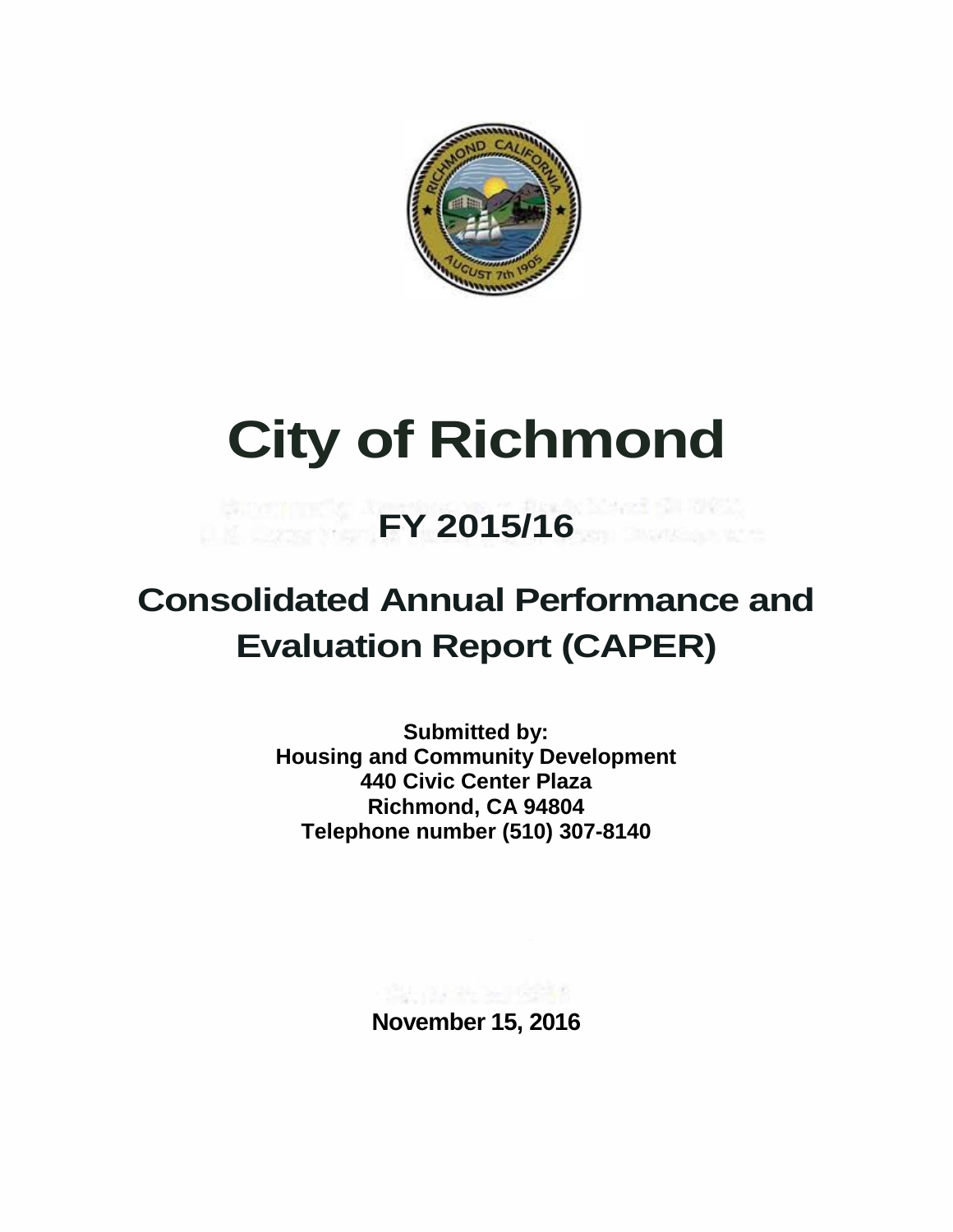

# **City of Richmond**

## **FY 2015/16**

### **Consolidated Annual Performance and Evaluation Report (CAPER)**

**Submitted by: Housing and Community Development 440 Civic Center Plaza Richmond, CA 94804 Telephone number (510) 307-8140**

**November 15, 2016**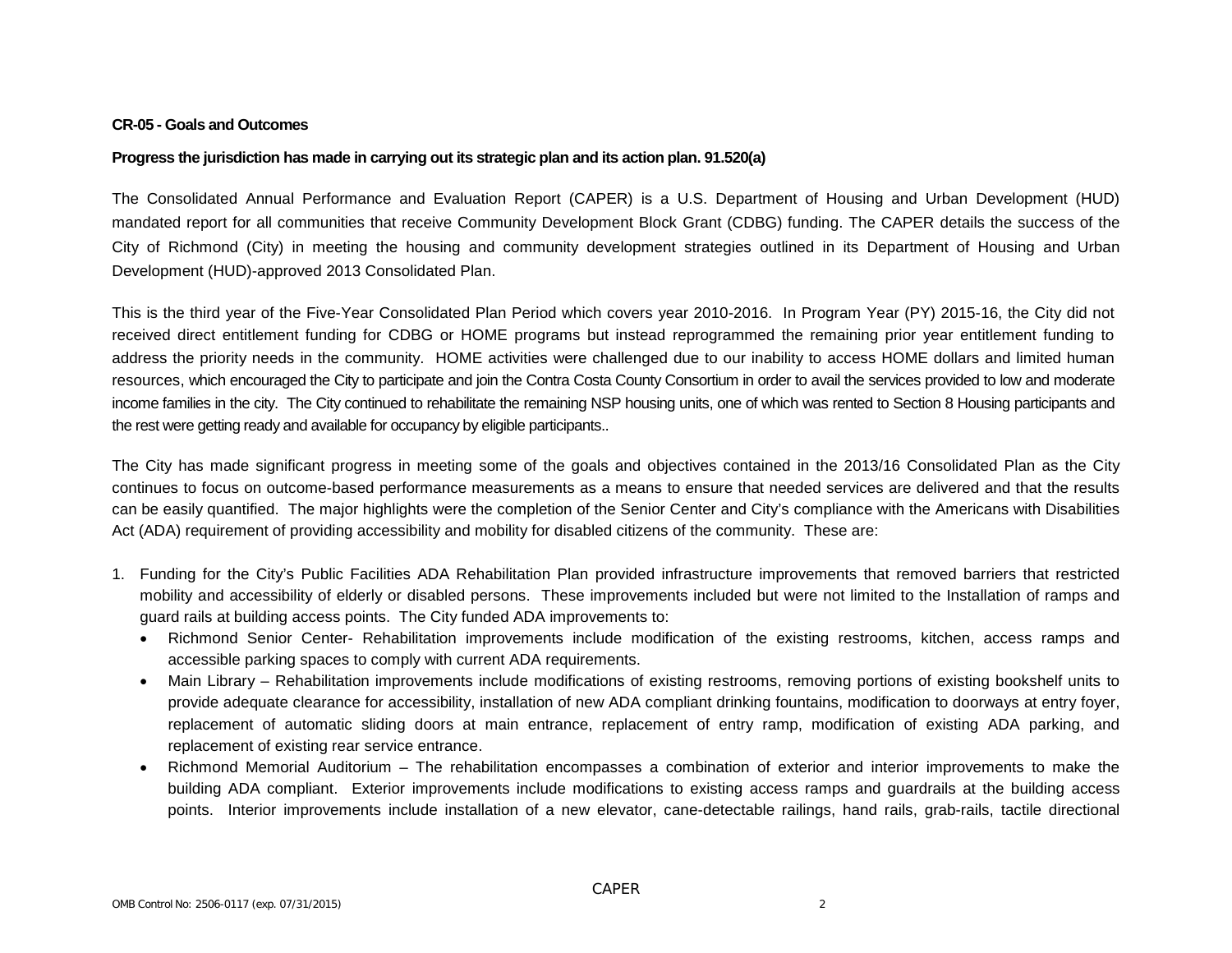#### **CR-05 - Goals and Outcomes**

#### **Progress the jurisdiction has made in carrying out its strategic plan and its action plan. 91.520(a)**

The Consolidated Annual Performance and Evaluation Report (CAPER) is a U.S. Department of Housing and Urban Development (HUD) mandated report for all communities that receive Community Development Block Grant (CDBG) funding. The CAPER details the success of the City of Richmond (City) in meeting the housing and community development strategies outlined in its Department of Housing and Urban Development (HUD)-approved 2013 Consolidated Plan.

This is the third year of the Five-Year Consolidated Plan Period which covers year 2010-2016. In Program Year (PY) 2015-16, the City did not received direct entitlement funding for CDBG or HOME programs but instead reprogrammed the remaining prior year entitlement funding to address the priority needs in the community. HOME activities were challenged due to our inability to access HOME dollars and limited human resources, which encouraged the City to participate and join the Contra Costa County Consortium in order to avail the services provided to low and moderate income families in the city. The City continued to rehabilitate the remaining NSP housing units, one of which was rented to Section 8 Housing participants and the rest were getting ready and available for occupancy by eligible participants..

The City has made significant progress in meeting some of the goals and objectives contained in the 2013/16 Consolidated Plan as the City continues to focus on outcome-based performance measurements as a means to ensure that needed services are delivered and that the results can be easily quantified. The major highlights were the completion of the Senior Center and City's compliance with the Americans with Disabilities Act (ADA) requirement of providing accessibility and mobility for disabled citizens of the community. These are:

- 1. Funding for the City's Public Facilities ADA Rehabilitation Plan provided infrastructure improvements that removed barriers that restricted mobility and accessibility of elderly or disabled persons. These improvements included but were not limited to the Installation of ramps and guard rails at building access points. The City funded ADA improvements to:
	- Richmond Senior Center- Rehabilitation improvements include modification of the existing restrooms, kitchen, access ramps and accessible parking spaces to comply with current ADA requirements.
	- Main Library Rehabilitation improvements include modifications of existing restrooms, removing portions of existing bookshelf units to provide adequate clearance for accessibility, installation of new ADA compliant drinking fountains, modification to doorways at entry foyer, replacement of automatic sliding doors at main entrance, replacement of entry ramp, modification of existing ADA parking, and replacement of existing rear service entrance.
	- Richmond Memorial Auditorium The rehabilitation encompasses a combination of exterior and interior improvements to make the building ADA compliant. Exterior improvements include modifications to existing access ramps and guardrails at the building access points. Interior improvements include installation of a new elevator, cane-detectable railings, hand rails, grab-rails, tactile directional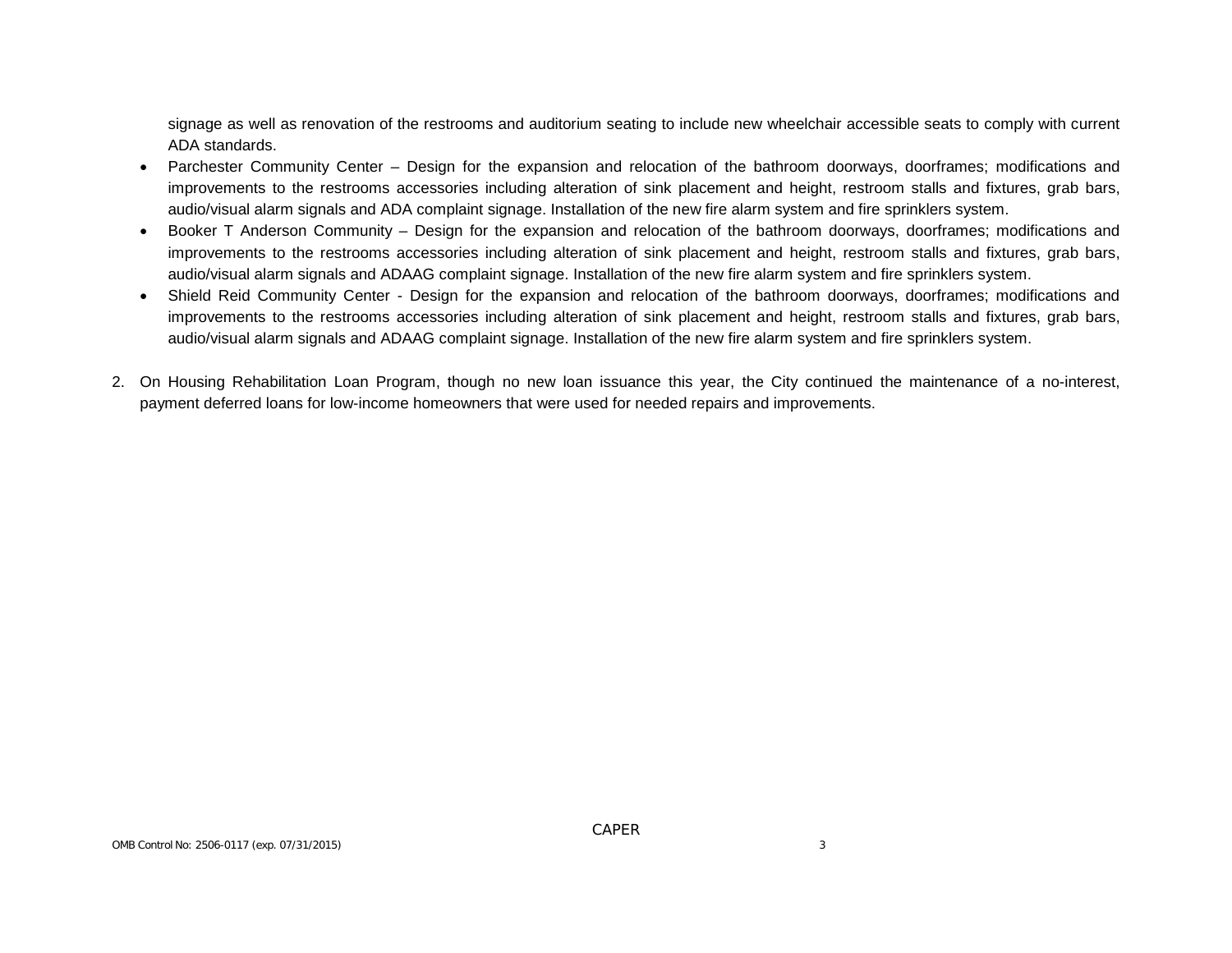signage as well as renovation of the restrooms and auditorium seating to include new wheelchair accessible seats to comply with current ADA standards.

- Parchester Community Center Design for the expansion and relocation of the bathroom doorways, doorframes; modifications and improvements to the restrooms accessories including alteration of sink placement and height, restroom stalls and fixtures, grab bars, audio/visual alarm signals and ADA complaint signage. Installation of the new fire alarm system and fire sprinklers system.
- Booker T Anderson Community Design for the expansion and relocation of the bathroom doorways, doorframes; modifications and improvements to the restrooms accessories including alteration of sink placement and height, restroom stalls and fixtures, grab bars, audio/visual alarm signals and ADAAG complaint signage. Installation of the new fire alarm system and fire sprinklers system.
- Shield Reid Community Center Design for the expansion and relocation of the bathroom doorways, doorframes; modifications and improvements to the restrooms accessories including alteration of sink placement and height, restroom stalls and fixtures, grab bars, audio/visual alarm signals and ADAAG complaint signage. Installation of the new fire alarm system and fire sprinklers system.
- 2. On Housing Rehabilitation Loan Program, though no new loan issuance this year, the City continued the maintenance of a no-interest, payment deferred loans for low-income homeowners that were used for needed repairs and improvements.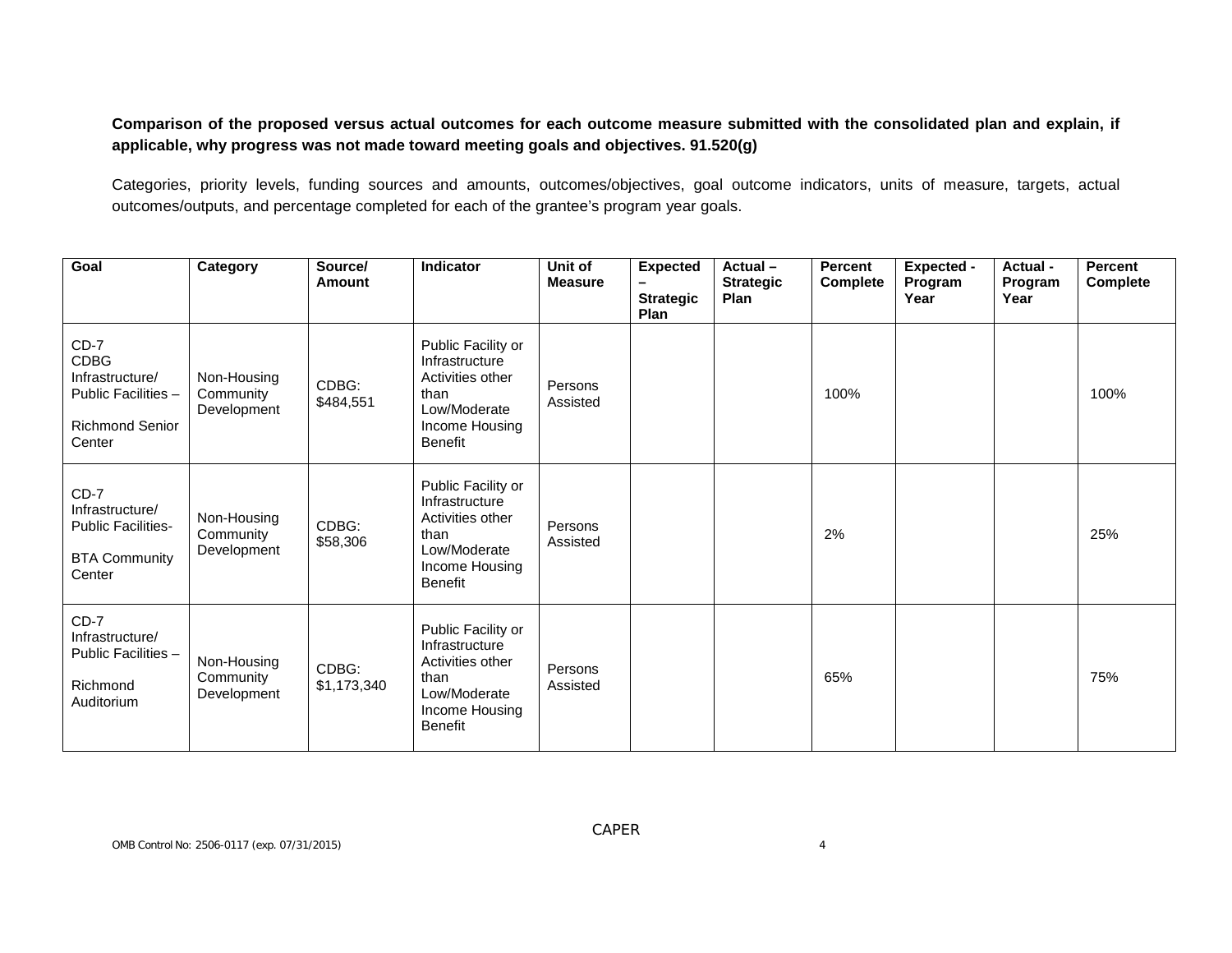**Comparison of the proposed versus actual outcomes for each outcome measure submitted with the consolidated plan and explain, if applicable, why progress was not made toward meeting goals and objectives. 91.520(g)**

Categories, priority levels, funding sources and amounts, outcomes/objectives, goal outcome indicators, units of measure, targets, actual outcomes/outputs, and percentage completed for each of the grantee's program year goals.

| Goal                                                                                                | Category                                | Source/<br>Amount    | <b>Indicator</b>                                                                                                     | Unit of<br><b>Measure</b> | <b>Expected</b><br><b>Strategic</b><br>Plan | Actual-<br><b>Strategic</b><br>Plan | <b>Percent</b><br>Complete | <b>Expected -</b><br>Program<br>Year | Actual -<br>Program<br>Year | <b>Percent</b><br><b>Complete</b> |
|-----------------------------------------------------------------------------------------------------|-----------------------------------------|----------------------|----------------------------------------------------------------------------------------------------------------------|---------------------------|---------------------------------------------|-------------------------------------|----------------------------|--------------------------------------|-----------------------------|-----------------------------------|
| $CD-7$<br><b>CDBG</b><br>Infrastructure/<br>Public Facilities -<br><b>Richmond Senior</b><br>Center | Non-Housing<br>Community<br>Development | CDBG:<br>\$484,551   | Public Facility or<br>Infrastructure<br>Activities other<br>than<br>Low/Moderate<br>Income Housing<br><b>Benefit</b> | Persons<br>Assisted       |                                             |                                     | 100%                       |                                      |                             | 100%                              |
| $CD-7$<br>Infrastructure/<br><b>Public Facilities-</b><br><b>BTA Community</b><br>Center            | Non-Housing<br>Community<br>Development | CDBG:<br>\$58,306    | Public Facility or<br>Infrastructure<br>Activities other<br>than<br>Low/Moderate<br>Income Housing<br><b>Benefit</b> | Persons<br>Assisted       |                                             |                                     | 2%                         |                                      |                             | 25%                               |
| $CD-7$<br>Infrastructure/<br>Public Facilities -<br>Richmond<br>Auditorium                          | Non-Housing<br>Community<br>Development | CDBG:<br>\$1,173,340 | Public Facility or<br>Infrastructure<br>Activities other<br>than<br>Low/Moderate<br>Income Housing<br><b>Benefit</b> | Persons<br>Assisted       |                                             |                                     | 65%                        |                                      |                             | 75%                               |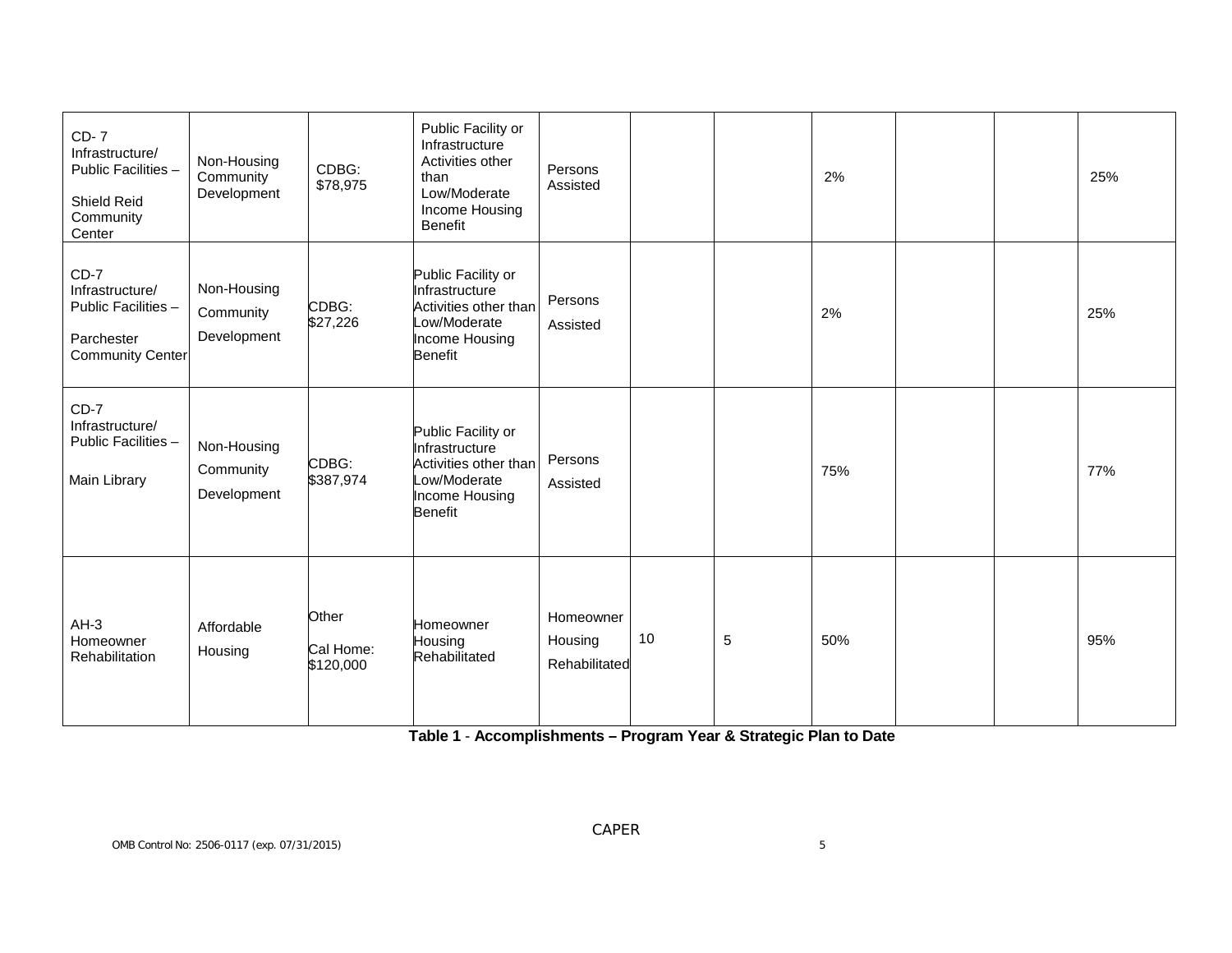| <b>CD-7</b><br>Infrastructure/<br>Public Facilities -<br>Shield Reid<br>Community<br>Center | Non-Housing<br>Community<br>Development | CDBG:<br>\$78,975               | Public Facility or<br>Infrastructure<br>Activities other<br>than<br>Low/Moderate<br>Income Housing<br><b>Benefit</b> | Persons<br>Assisted                   |    |   | 2%  |  | 25% |
|---------------------------------------------------------------------------------------------|-----------------------------------------|---------------------------------|----------------------------------------------------------------------------------------------------------------------|---------------------------------------|----|---|-----|--|-----|
| $CD-7$<br>Infrastructure/<br>Public Facilities -<br>Parchester<br><b>Community Center</b>   | Non-Housing<br>Community<br>Development | CDBG:<br>\$27,226               | Public Facility or<br>Infrastructure<br>Activities other than<br>Low/Moderate<br>Income Housing<br><b>Benefit</b>    | Persons<br>Assisted                   |    |   | 2%  |  | 25% |
| $CD-7$<br>Infrastructure/<br>Public Facilities -<br>Main Library                            | Non-Housing<br>Community<br>Development | CDBG:<br>\$387,974              | Public Facility or<br>Infrastructure<br>Activities other than<br>Low/Moderate<br>Income Housing<br><b>Benefit</b>    | Persons<br>Assisted                   |    |   | 75% |  | 77% |
| $AH-3$<br>Homeowner<br>Rehabilitation                                                       | Affordable<br>Housing                   | Other<br>Cal Home:<br>\$120,000 | Homeowner<br>Housing<br>Rehabilitated                                                                                | Homeowner<br>Housing<br>Rehabilitated | 10 | 5 | 50% |  | 95% |

**Table 1** - **Accomplishments – Program Year & Strategic Plan to Date**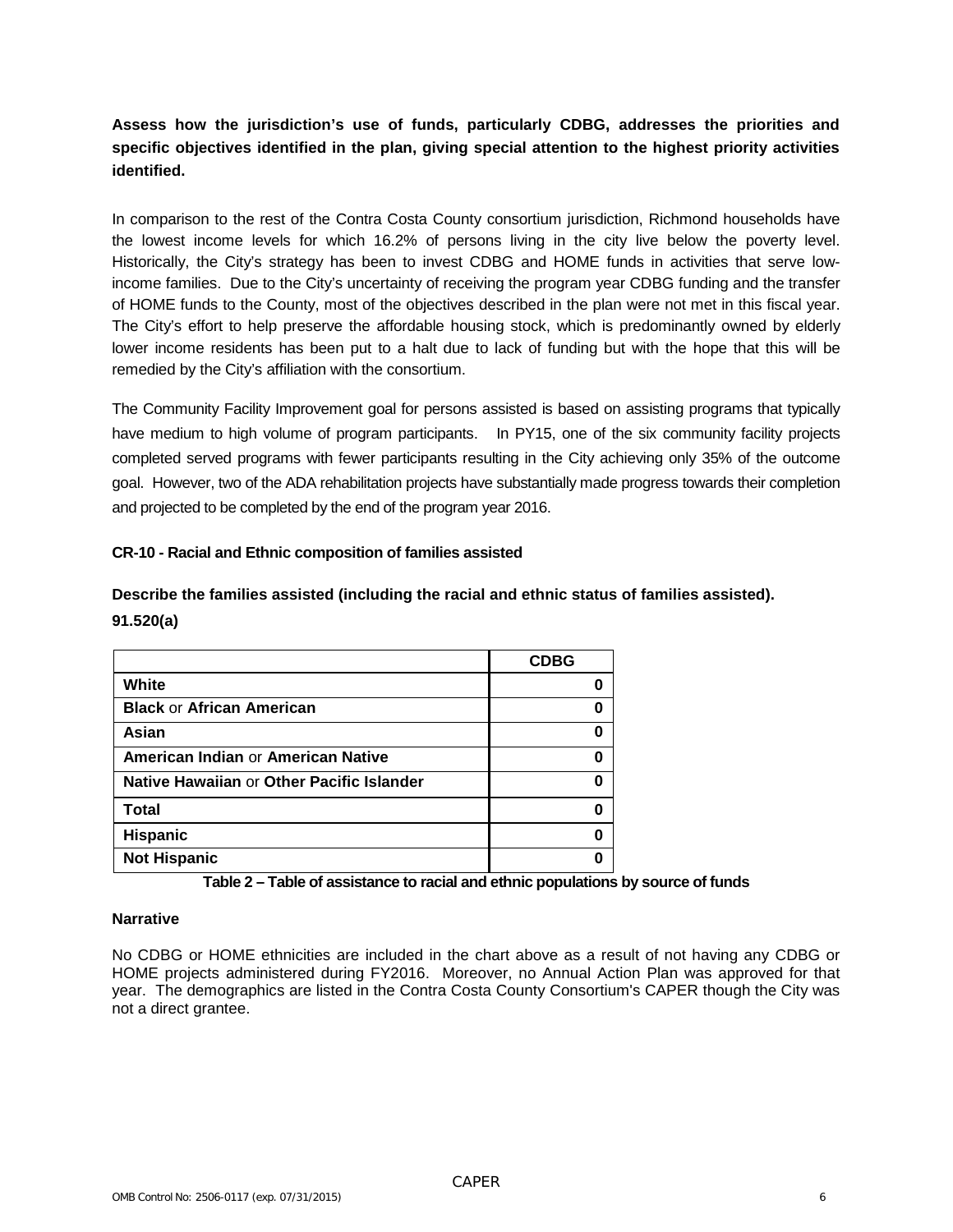#### **Assess how the jurisdiction's use of funds, particularly CDBG, addresses the priorities and specific objectives identified in the plan, giving special attention to the highest priority activities identified.**

In comparison to the rest of the Contra Costa County consortium jurisdiction, Richmond households have the lowest income levels for which 16.2% of persons living in the city live below the poverty level. Historically, the City's strategy has been to invest CDBG and HOME funds in activities that serve lowincome families. Due to the City's uncertainty of receiving the program year CDBG funding and the transfer of HOME funds to the County, most of the objectives described in the plan were not met in this fiscal year. The City's effort to help preserve the affordable housing stock, which is predominantly owned by elderly lower income residents has been put to a halt due to lack of funding but with the hope that this will be remedied by the City's affiliation with the consortium.

The Community Facility Improvement goal for persons assisted is based on assisting programs that typically have medium to high volume of program participants. In PY15, one of the six community facility projects completed served programs with fewer participants resulting in the City achieving only 35% of the outcome goal. However, two of the ADA rehabilitation projects have substantially made progress towards their completion and projected to be completed by the end of the program year 2016.

#### **CR-10 - Racial and Ethnic composition of families assisted**

**Describe the families assisted (including the racial and ethnic status of families assisted). 91.520(a)**

|                                           | <b>CDBG</b> |
|-------------------------------------------|-------------|
| White                                     |             |
| <b>Black or African American</b>          |             |
| Asian                                     |             |
| American Indian or American Native        |             |
| Native Hawaiian or Other Pacific Islander |             |
| <b>Total</b>                              |             |
| <b>Hispanic</b>                           |             |
| <b>Not Hispanic</b>                       |             |

**Table 2 – Table of assistance to racial and ethnic populations by source of funds**

#### **Narrative**

No CDBG or HOME ethnicities are included in the chart above as a result of not having any CDBG or HOME projects administered during FY2016. Moreover, no Annual Action Plan was approved for that year. The demographics are listed in the Contra Costa County Consortium's CAPER though the City was not a direct grantee.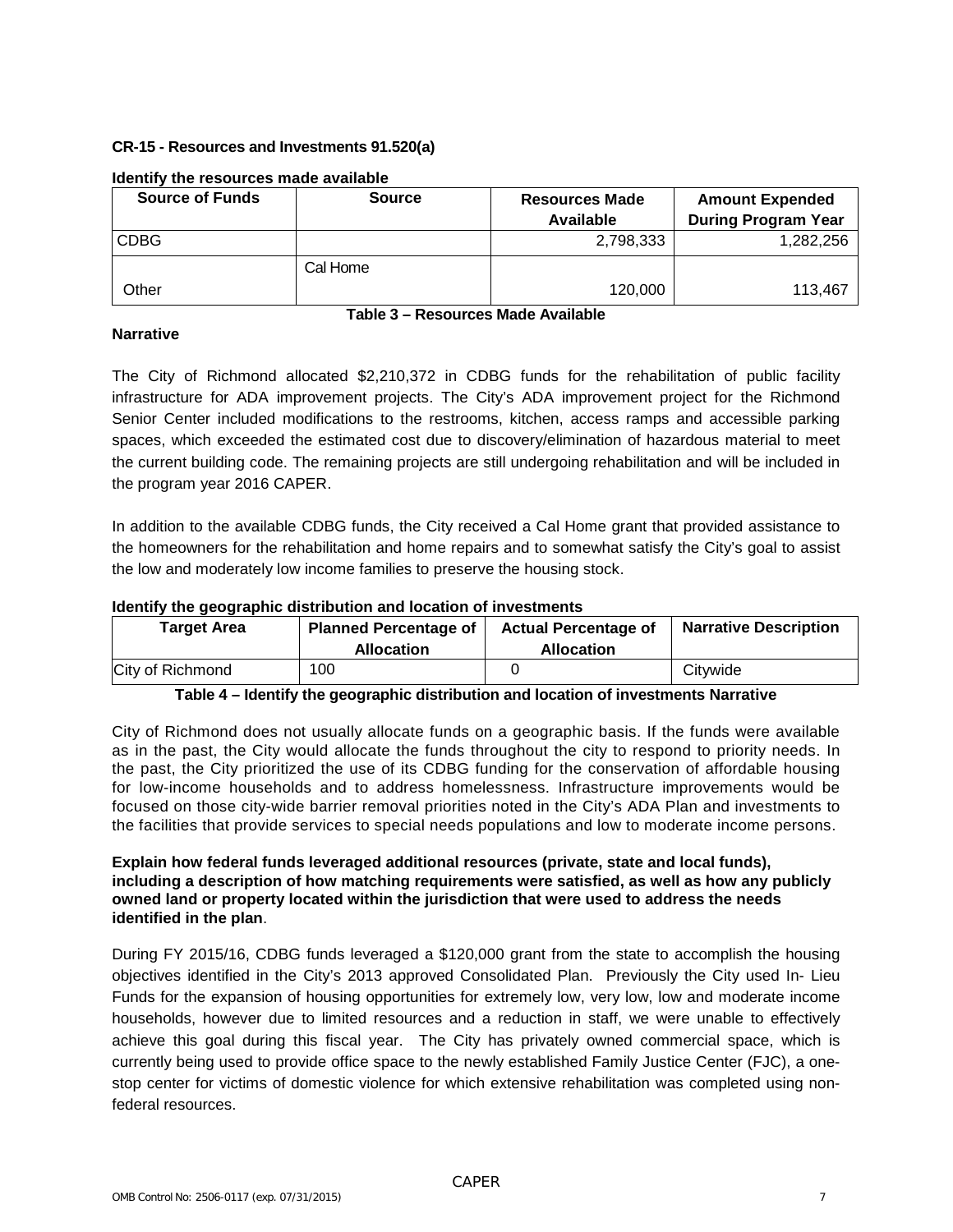#### **CR-15 - Resources and Investments 91.520(a)**

| <b>Source of Funds</b> | <b>Source</b> | <b>Resources Made</b> | <b>Amount Expended</b>     |
|------------------------|---------------|-----------------------|----------------------------|
|                        |               | Available             | <b>During Program Year</b> |
| <b>CDBG</b>            |               | 2,798,333             | 1,282,256                  |
|                        | Cal Home      |                       |                            |
| Other                  |               | 120,000               | 113.467                    |

#### **Identify the resources made available**

#### **Narrative**

**Table 3 – Resources Made Available**

The City of Richmond allocated \$2,210,372 in CDBG funds for the rehabilitation of public facility infrastructure for ADA improvement projects. The City's ADA improvement project for the Richmond Senior Center included modifications to the restrooms, kitchen, access ramps and accessible parking spaces, which exceeded the estimated cost due to discovery/elimination of hazardous material to meet the current building code. The remaining projects are still undergoing rehabilitation and will be included in the program year 2016 CAPER.

In addition to the available CDBG funds, the City received a Cal Home grant that provided assistance to the homeowners for the rehabilitation and home repairs and to somewhat satisfy the City's goal to assist the low and moderately low income families to preserve the housing stock.

#### **Identify the geographic distribution and location of investments**

| Target Area      | <b>Planned Percentage of</b><br><b>Allocation</b> | <b>Actual Percentage of</b><br><b>Allocation</b> | <b>Narrative Description</b> |
|------------------|---------------------------------------------------|--------------------------------------------------|------------------------------|
| City of Richmond | 100                                               |                                                  | Citywide                     |

**Table 4 – Identify the geographic distribution and location of investments Narrative**

City of Richmond does not usually allocate funds on a geographic basis. If the funds were available as in the past, the City would allocate the funds throughout the city to respond to priority needs. In the past, the City prioritized the use of its CDBG funding for the conservation of affordable housing for low-income households and to address homelessness. Infrastructure improvements would be focused on those city-wide barrier removal priorities noted in the City's ADA Plan and investments to the facilities that provide services to special needs populations and low to moderate income persons.

#### **Explain how federal funds leveraged additional resources (private, state and local funds), including a description of how matching requirements were satisfied, as well as how any publicly owned land or property located within the jurisdiction that were used to address the needs identified in the plan**.

During FY 2015/16, CDBG funds leveraged a \$120,000 grant from the state to accomplish the housing objectives identified in the City's 2013 approved Consolidated Plan. Previously the City used In- Lieu Funds for the expansion of housing opportunities for extremely low, very low, low and moderate income households, however due to limited resources and a reduction in staff, we were unable to effectively achieve this goal during this fiscal year. The City has privately owned commercial space, which is currently being used to provide office space to the newly established Family Justice Center (FJC), a onestop center for victims of domestic violence for which extensive rehabilitation was completed using nonfederal resources.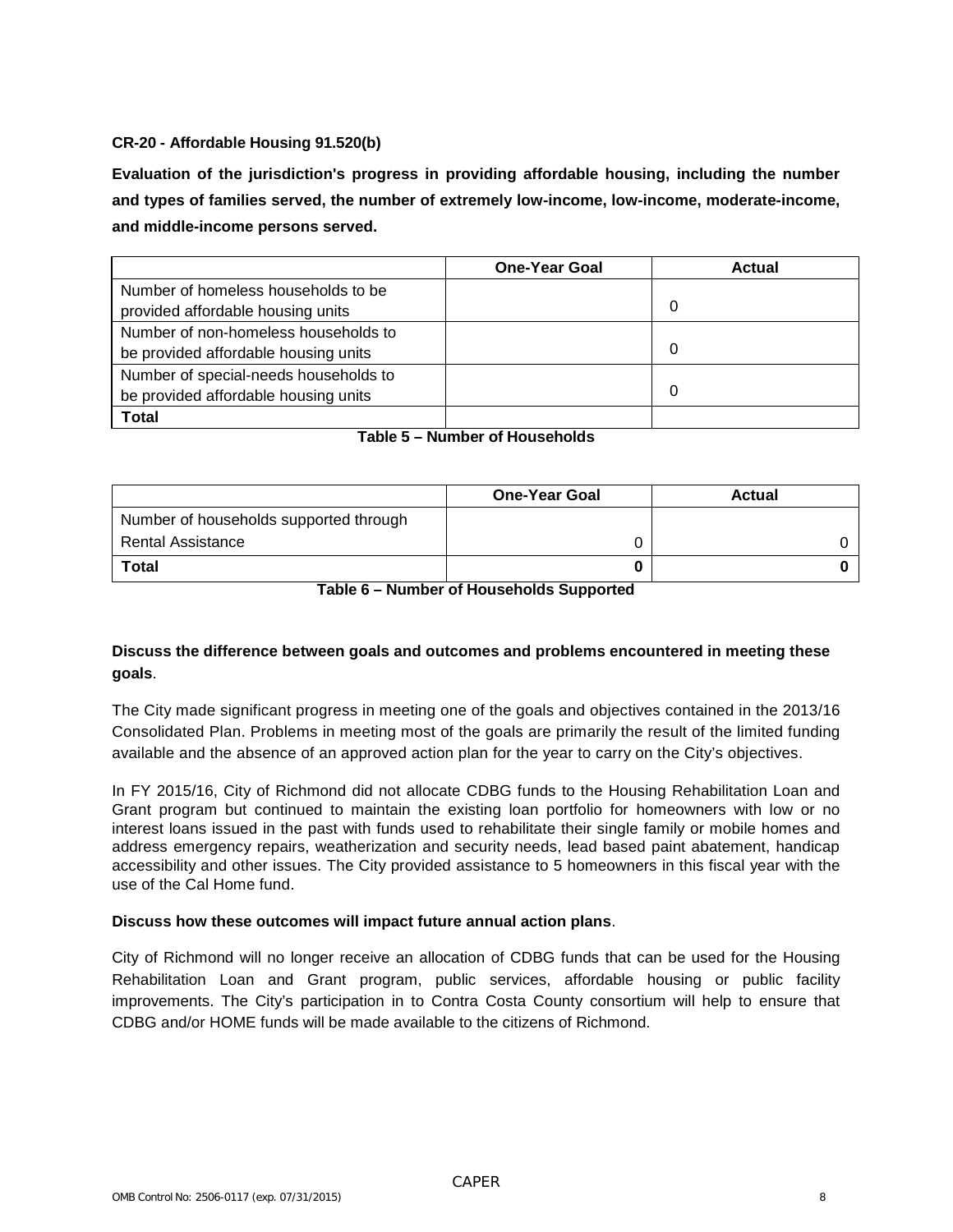#### **CR-20 - Affordable Housing 91.520(b)**

**Evaluation of the jurisdiction's progress in providing affordable housing, including the number and types of families served, the number of extremely low-income, low-income, moderate-income, and middle-income persons served.**

|                                       | <b>One-Year Goal</b> | <b>Actual</b> |
|---------------------------------------|----------------------|---------------|
| Number of homeless households to be   |                      |               |
| provided affordable housing units     |                      | 0             |
| Number of non-homeless households to  |                      |               |
| be provided affordable housing units  |                      | 0             |
| Number of special-needs households to |                      |               |
| be provided affordable housing units  |                      | 0             |
| Total                                 |                      |               |

|  | Table 5 – Number of Households |
|--|--------------------------------|

|                                        | <b>One-Year Goal</b> | <b>Actual</b> |
|----------------------------------------|----------------------|---------------|
| Number of households supported through |                      |               |
| Rental Assistance                      |                      |               |
| <b>Total</b>                           |                      |               |

**Table 6 – Number of Households Supported**

#### **Discuss the difference between goals and outcomes and problems encountered in meeting these goals**.

The City made significant progress in meeting one of the goals and objectives contained in the 2013/16 Consolidated Plan. Problems in meeting most of the goals are primarily the result of the limited funding available and the absence of an approved action plan for the year to carry on the City's objectives.

In FY 2015/16, City of Richmond did not allocate CDBG funds to the Housing Rehabilitation Loan and Grant program but continued to maintain the existing loan portfolio for homeowners with low or no interest loans issued in the past with funds used to rehabilitate their single family or mobile homes and address emergency repairs, weatherization and security needs, lead based paint abatement, handicap accessibility and other issues. The City provided assistance to 5 homeowners in this fiscal year with the use of the Cal Home fund.

#### **Discuss how these outcomes will impact future annual action plans**.

City of Richmond will no longer receive an allocation of CDBG funds that can be used for the Housing Rehabilitation Loan and Grant program, public services, affordable housing or public facility improvements. The City's participation in to Contra Costa County consortium will help to ensure that CDBG and/or HOME funds will be made available to the citizens of Richmond.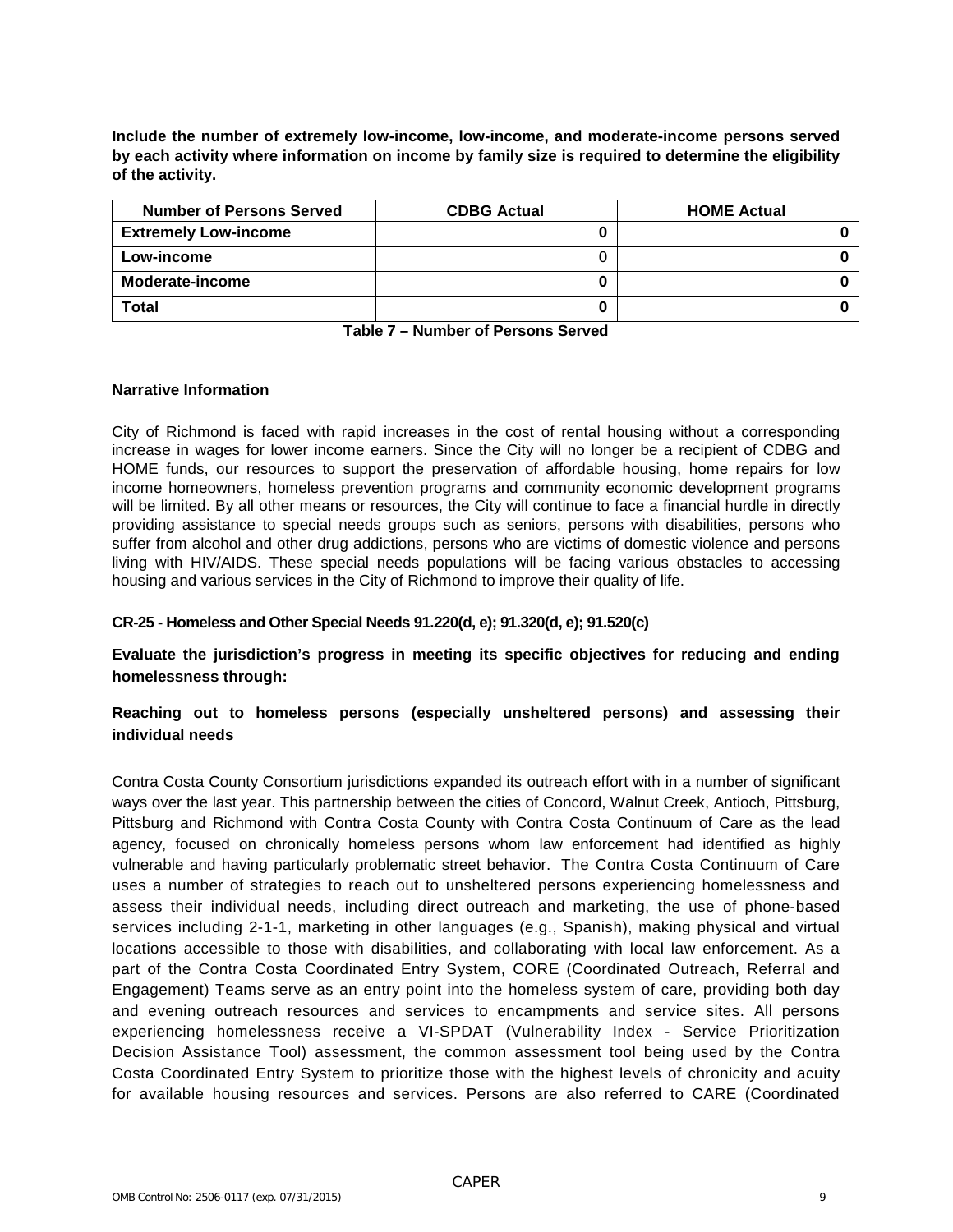**Include the number of extremely low-income, low-income, and moderate-income persons served by each activity where information on income by family size is required to determine the eligibility of the activity.**

| <b>Number of Persons Served</b> | <b>CDBG Actual</b> | <b>HOME Actual</b> |
|---------------------------------|--------------------|--------------------|
| <b>Extremely Low-income</b>     |                    |                    |
| Low-income                      |                    |                    |
| Moderate-income                 |                    |                    |
| Total                           |                    |                    |

#### **Narrative Information**

City of Richmond is faced with rapid increases in the cost of rental housing without a corresponding increase in wages for lower income earners. Since the City will no longer be a recipient of CDBG and HOME funds, our resources to support the preservation of affordable housing, home repairs for low income homeowners, homeless prevention programs and community economic development programs will be limited. By all other means or resources, the City will continue to face a financial hurdle in directly providing assistance to special needs groups such as seniors, persons with disabilities, persons who suffer from alcohol and other drug addictions, persons who are victims of domestic violence and persons living with HIV/AIDS. These special needs populations will be facing various obstacles to accessing housing and various services in the City of Richmond to improve their quality of life.

#### **CR-25 - Homeless and Other Special Needs 91.220(d, e); 91.320(d, e); 91.520(c)**

**Evaluate the jurisdiction's progress in meeting its specific objectives for reducing and ending homelessness through:**

#### **Reaching out to homeless persons (especially unsheltered persons) and assessing their individual needs**

Contra Costa County Consortium jurisdictions expanded its outreach effort with in a number of significant ways over the last year. This partnership between the cities of Concord, Walnut Creek, Antioch, Pittsburg, Pittsburg and Richmond with Contra Costa County with Contra Costa Continuum of Care as the lead agency, focused on chronically homeless persons whom law enforcement had identified as highly vulnerable and having particularly problematic street behavior. The Contra Costa Continuum of Care uses a number of strategies to reach out to unsheltered persons experiencing homelessness and assess their individual needs, including direct outreach and marketing, the use of phone-based services including 2-1-1, marketing in other languages (e.g., Spanish), making physical and virtual locations accessible to those with disabilities, and collaborating with local law enforcement. As a part of the Contra Costa Coordinated Entry System, CORE (Coordinated Outreach, Referral and Engagement) Teams serve as an entry point into the homeless system of care, providing both day and evening outreach resources and services to encampments and service sites. All persons experiencing homelessness receive a VI-SPDAT (Vulnerability Index - Service Prioritization Decision Assistance Tool) assessment, the common assessment tool being used by the Contra Costa Coordinated Entry System to prioritize those with the highest levels of chronicity and acuity for available housing resources and services. Persons are also referred to CARE (Coordinated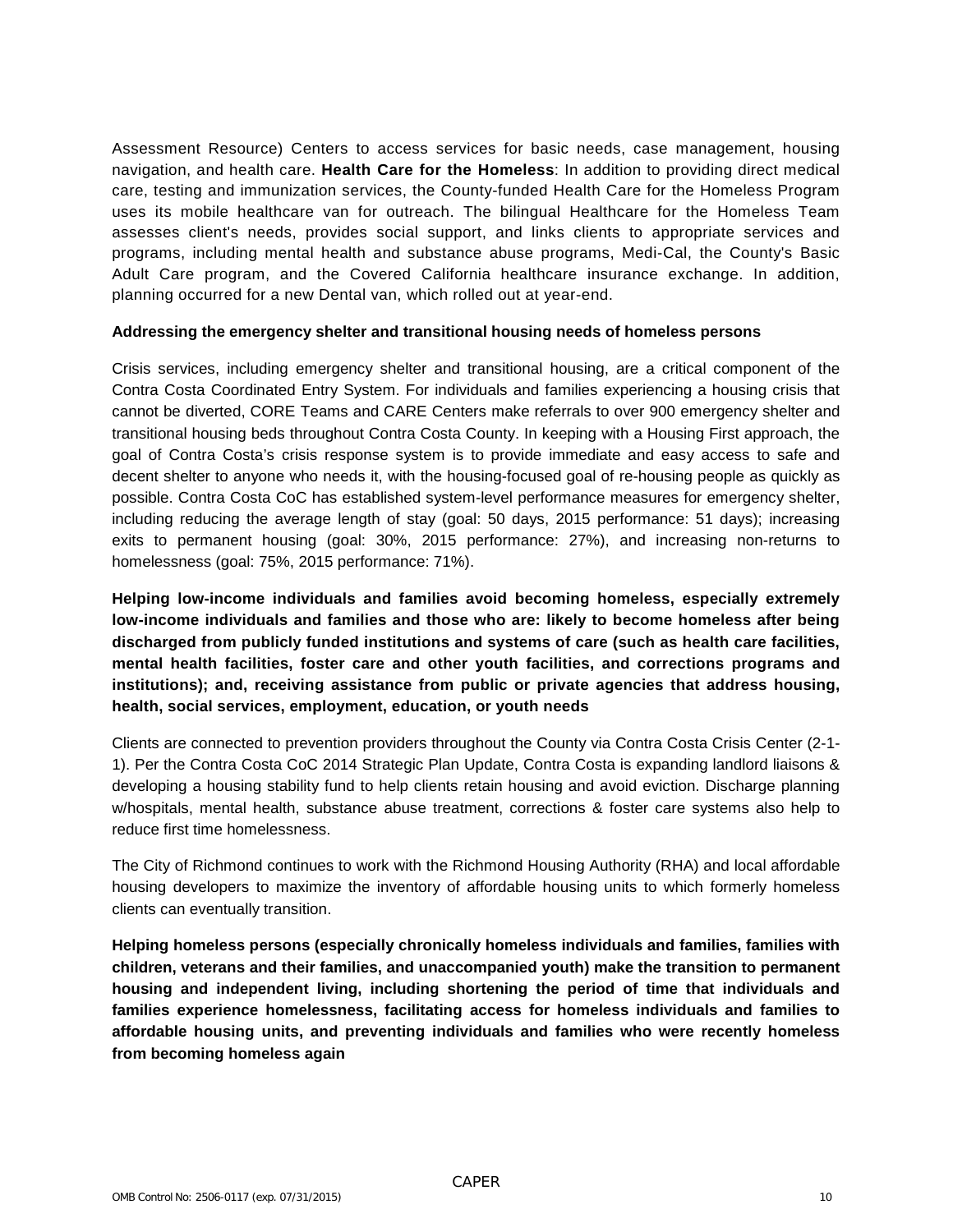Assessment Resource) Centers to access services for basic needs, case management, housing navigation, and health care. **Health Care for the Homeless**: In addition to providing direct medical care, testing and immunization services, the County-funded Health Care for the Homeless Program uses its mobile healthcare van for outreach. The bilingual Healthcare for the Homeless Team assesses client's needs, provides social support, and links clients to appropriate services and programs, including mental health and substance abuse programs, Medi-Cal, the County's Basic Adult Care program, and the Covered California healthcare insurance exchange. In addition, planning occurred for a new Dental van, which rolled out at year-end.

#### **Addressing the emergency shelter and transitional housing needs of homeless persons**

Crisis services, including emergency shelter and transitional housing, are a critical component of the Contra Costa Coordinated Entry System. For individuals and families experiencing a housing crisis that cannot be diverted, CORE Teams and CARE Centers make referrals to over 900 emergency shelter and transitional housing beds throughout Contra Costa County. In keeping with a Housing First approach, the goal of Contra Costa's crisis response system is to provide immediate and easy access to safe and decent shelter to anyone who needs it, with the housing-focused goal of re-housing people as quickly as possible. Contra Costa CoC has established system-level performance measures for emergency shelter, including reducing the average length of stay (goal: 50 days, 2015 performance: 51 days); increasing exits to permanent housing (goal: 30%, 2015 performance: 27%), and increasing non-returns to homelessness (goal: 75%, 2015 performance: 71%).

**Helping low-income individuals and families avoid becoming homeless, especially extremely low-income individuals and families and those who are: likely to become homeless after being discharged from publicly funded institutions and systems of care (such as health care facilities, mental health facilities, foster care and other youth facilities, and corrections programs and institutions); and, receiving assistance from public or private agencies that address housing, health, social services, employment, education, or youth needs**

Clients are connected to prevention providers throughout the County via Contra Costa Crisis Center (2-1- 1). Per the Contra Costa CoC 2014 Strategic Plan Update, Contra Costa is expanding landlord liaisons & developing a housing stability fund to help clients retain housing and avoid eviction. Discharge planning w/hospitals, mental health, substance abuse treatment, corrections & foster care systems also help to reduce first time homelessness.

The City of Richmond continues to work with the Richmond Housing Authority (RHA) and local affordable housing developers to maximize the inventory of affordable housing units to which formerly homeless clients can eventually transition.

**Helping homeless persons (especially chronically homeless individuals and families, families with children, veterans and their families, and unaccompanied youth) make the transition to permanent housing and independent living, including shortening the period of time that individuals and families experience homelessness, facilitating access for homeless individuals and families to affordable housing units, and preventing individuals and families who were recently homeless from becoming homeless again**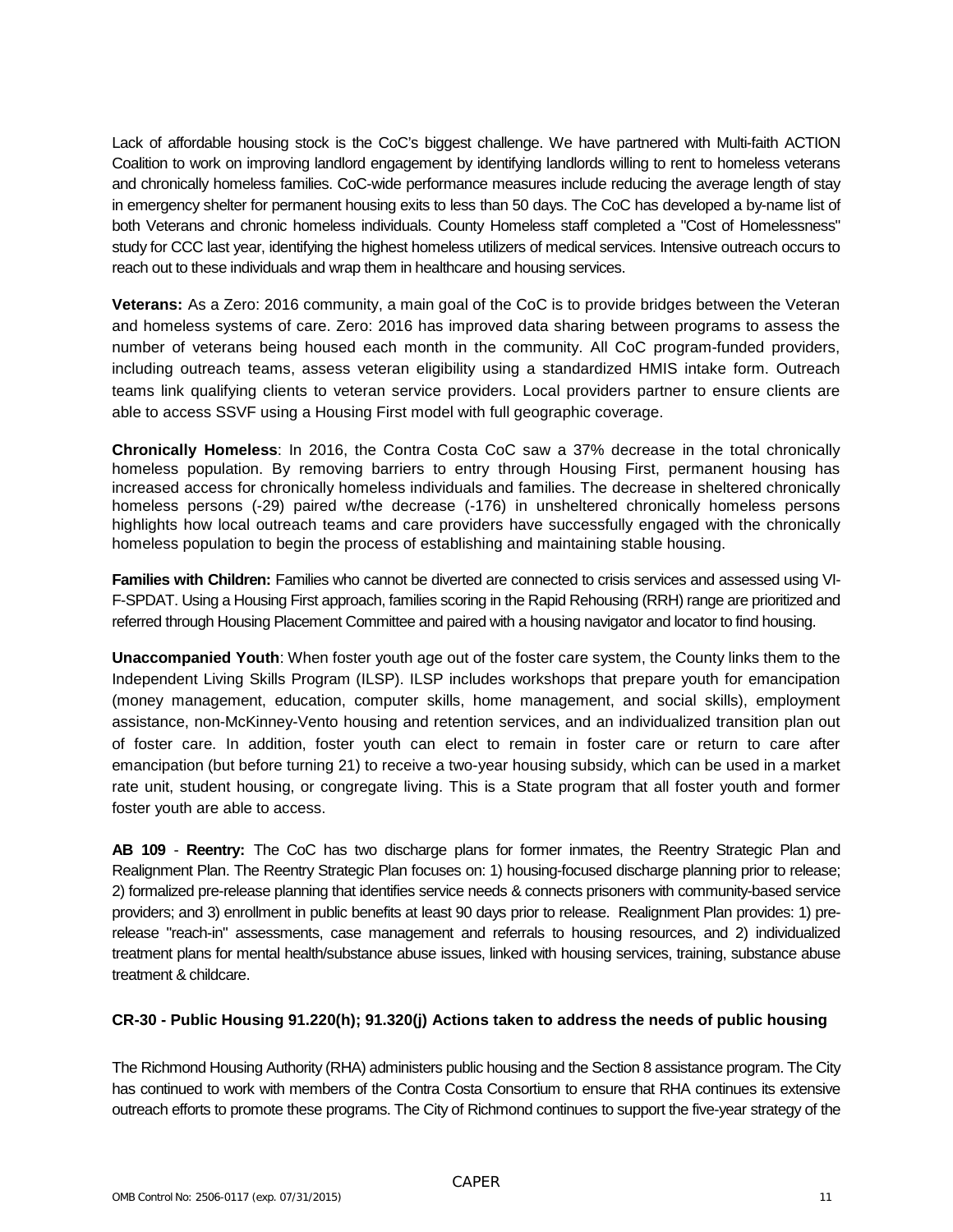Lack of affordable housing stock is the CoC's biggest challenge. We have partnered with Multi-faith ACTION Coalition to work on improving landlord engagement by identifying landlords willing to rent to homeless veterans and chronically homeless families. CoC-wide performance measures include reducing the average length of stay in emergency shelter for permanent housing exits to less than 50 days. The CoC has developed a by-name list of both Veterans and chronic homeless individuals. County Homeless staff completed a "Cost of Homelessness" study for CCC last year, identifying the highest homeless utilizers of medical services. Intensive outreach occurs to reach out to these individuals and wrap them in healthcare and housing services.

**Veterans:** As a Zero: 2016 community, a main goal of the CoC is to provide bridges between the Veteran and homeless systems of care. Zero: 2016 has improved data sharing between programs to assess the number of veterans being housed each month in the community. All CoC program-funded providers, including outreach teams, assess veteran eligibility using a standardized HMIS intake form. Outreach teams link qualifying clients to veteran service providers. Local providers partner to ensure clients are able to access SSVF using a Housing First model with full geographic coverage.

**Chronically Homeless**: In 2016, the Contra Costa CoC saw a 37% decrease in the total chronically homeless population. By removing barriers to entry through Housing First, permanent housing has increased access for chronically homeless individuals and families. The decrease in sheltered chronically homeless persons (-29) paired w/the decrease (-176) in unsheltered chronically homeless persons highlights how local outreach teams and care providers have successfully engaged with the chronically homeless population to begin the process of establishing and maintaining stable housing.

**Families with Children:** Families who cannot be diverted are connected to crisis services and assessed using VI-F-SPDAT. Using a Housing First approach, families scoring in the Rapid Rehousing (RRH) range are prioritized and referred through Housing Placement Committee and paired with a housing navigator and locator to find housing.

**Unaccompanied Youth**: When foster youth age out of the foster care system, the County links them to the Independent Living Skills Program (ILSP). ILSP includes workshops that prepare youth for emancipation (money management, education, computer skills, home management, and social skills), employment assistance, non-McKinney-Vento housing and retention services, and an individualized transition plan out of foster care. In addition, foster youth can elect to remain in foster care or return to care after emancipation (but before turning 21) to receive a two-year housing subsidy, which can be used in a market rate unit, student housing, or congregate living. This is a State program that all foster youth and former foster youth are able to access.

**AB 109** - **Reentry:** The CoC has two discharge plans for former inmates, the Reentry Strategic Plan and Realignment Plan. The Reentry Strategic Plan focuses on: 1) housing-focused discharge planning prior to release; 2) formalized pre-release planning that identifies service needs & connects prisoners with community-based service providers; and 3) enrollment in public benefits at least 90 days prior to release. Realignment Plan provides: 1) prerelease "reach-in" assessments, case management and referrals to housing resources, and 2) individualized treatment plans for mental health/substance abuse issues, linked with housing services, training, substance abuse treatment & childcare.

#### **CR-30 - Public Housing 91.220(h); 91.320(j) Actions taken to address the needs of public housing**

The Richmond Housing Authority (RHA) administers public housing and the Section 8 assistance program. The City has continued to work with members of the Contra Costa Consortium to ensure that RHA continues its extensive outreach efforts to promote these programs. The City of Richmond continues to support the five-year strategy of the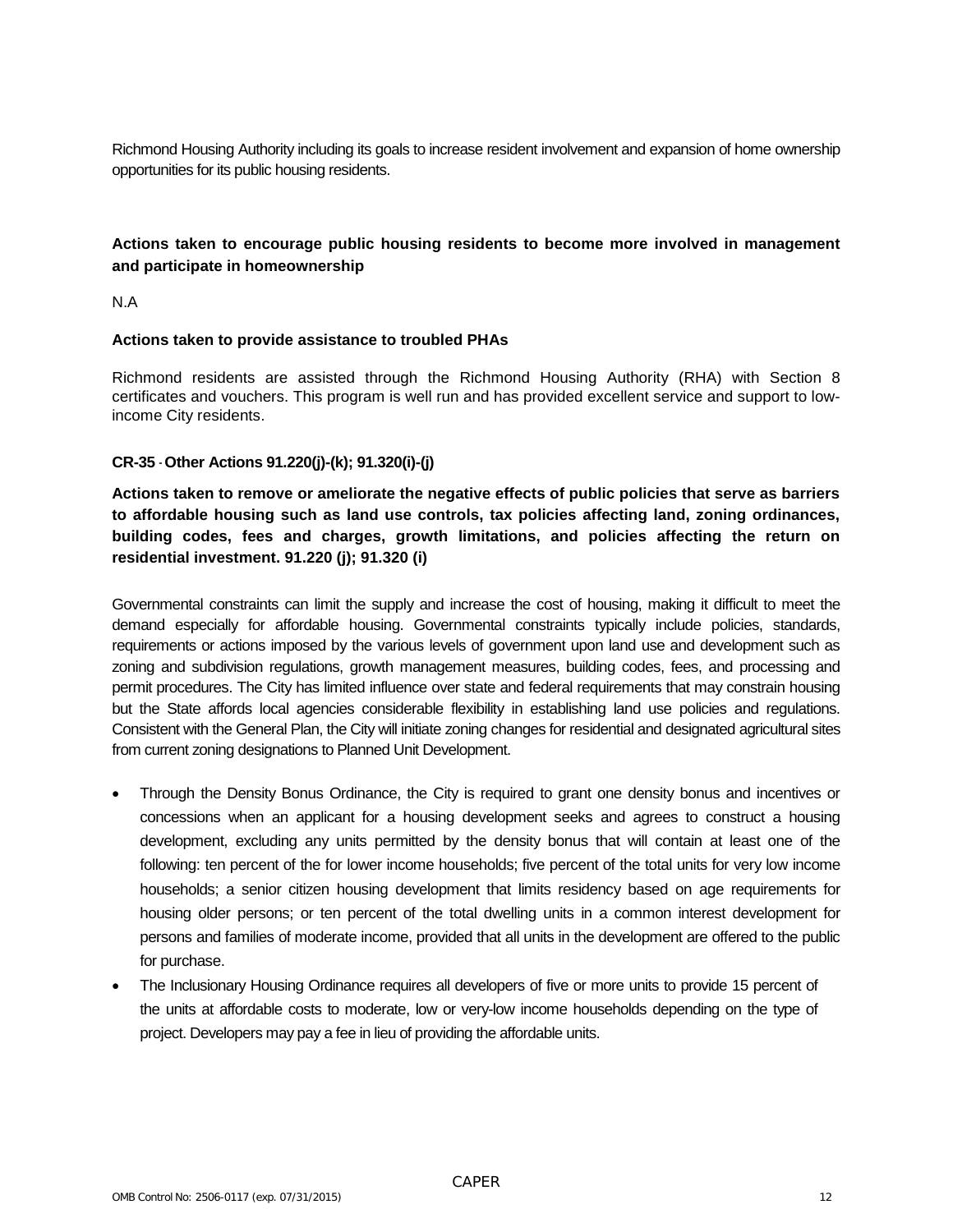Richmond Housing Authority including its goals to increase resident involvement and expansion of home ownership opportunities for its public housing residents.

#### **Actions taken to encourage public housing residents to become more involved in management and participate in homeownership**

N.A

#### **Actions taken to provide assistance to troubled PHAs**

Richmond residents are assisted through the Richmond Housing Authority (RHA) with Section 8 certificates and vouchers. This program is well run and has provided excellent service and support to lowincome City residents.

#### **CR-35** - **Other Actions 91.220(j)-(k); 91.320(i)-(j)**

**Actions taken to remove or ameliorate the negative effects of public policies that serve as barriers to affordable housing such as land use controls, tax policies affecting land, zoning ordinances, building codes, fees and charges, growth limitations, and policies affecting the return on residential investment. 91.220 (j); 91.320 (i)**

Governmental constraints can limit the supply and increase the cost of housing, making it difficult to meet the demand especially for affordable housing. Governmental constraints typically include policies, standards, requirements or actions imposed by the various levels of government upon land use and development such as zoning and subdivision regulations, growth management measures, building codes, fees, and processing and permit procedures. The City has limited influence over state and federal requirements that may constrain housing but the State affords local agencies considerable flexibility in establishing land use policies and regulations. Consistent with the General Plan, the City will initiate zoning changes for residential and designated agricultural sites from current zoning designations to Planned Unit Development.

- Through the Density Bonus Ordinance, the City is required to grant one density bonus and incentives or concessions when an applicant for a housing development seeks and agrees to construct a housing development, excluding any units permitted by the density bonus that will contain at least one of the following: ten percent of the for lower income households; five percent of the total units for very low income households; a senior citizen housing development that limits residency based on age requirements for housing older persons; or ten percent of the total dwelling units in a common interest development for persons and families of moderate income, provided that all units in the development are offered to the public for purchase.
- The Inclusionary Housing Ordinance requires all developers of five or more units to provide 15 percent of the units at affordable costs to moderate, low or very-low income households depending on the type of project. Developers may pay a fee in lieu of providing the affordable units.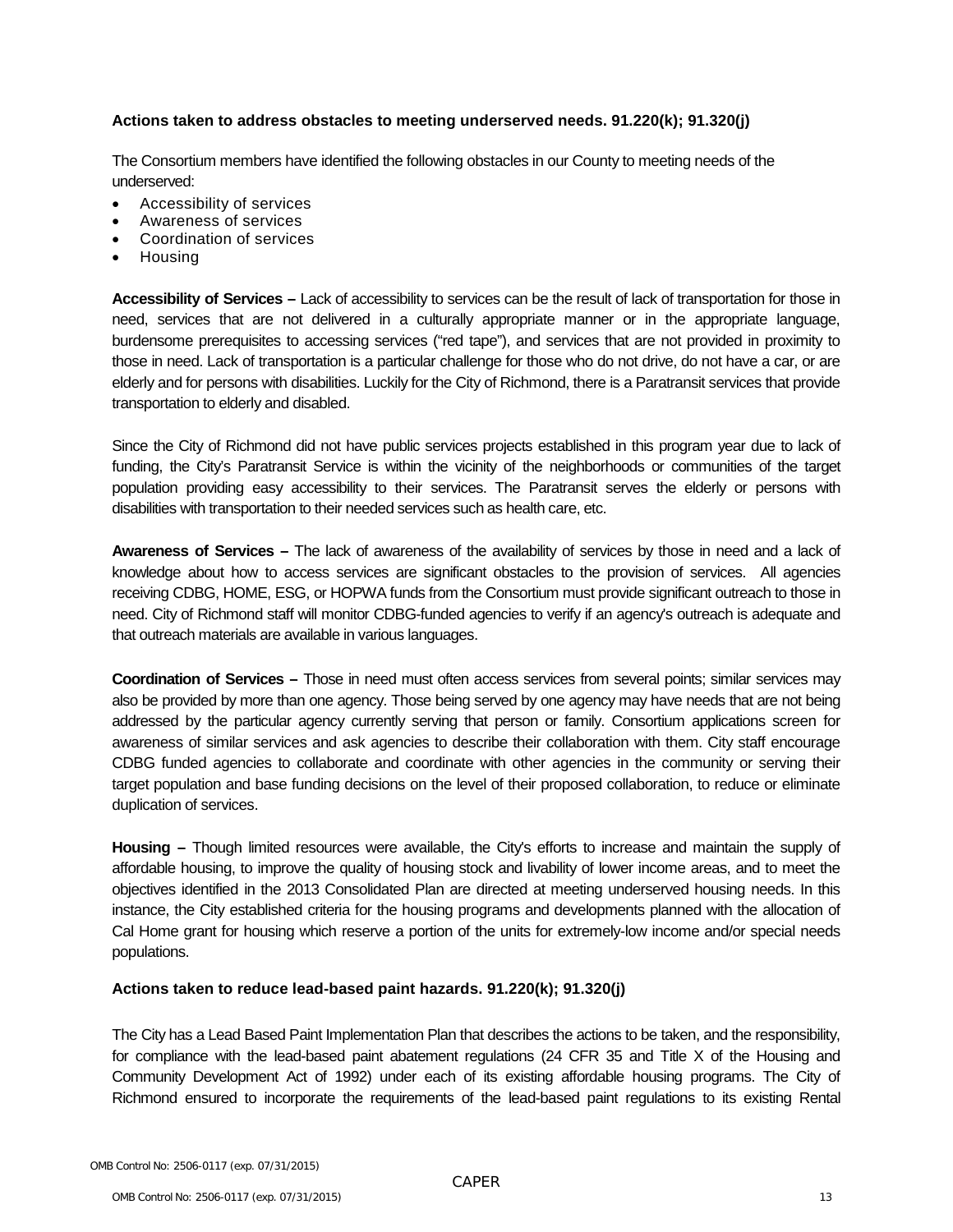#### **Actions taken to address obstacles to meeting underserved needs. 91.220(k); 91.320(j)**

The Consortium members have identified the following obstacles in our County to meeting needs of the underserved:

- Accessibility of services
- Awareness of services
- Coordination of services
- Housing

**Accessibility of Services –** Lack of accessibility to services can be the result of lack of transportation for those in need, services that are not delivered in a culturally appropriate manner or in the appropriate language, burdensome prerequisites to accessing services ("red tape"), and services that are not provided in proximity to those in need. Lack of transportation is a particular challenge for those who do not drive, do not have a car, or are elderly and for persons with disabilities. Luckily for the City of Richmond, there is a Paratransit services that provide transportation to elderly and disabled.

Since the City of Richmond did not have public services projects established in this program year due to lack of funding, the City's Paratransit Service is within the vicinity of the neighborhoods or communities of the target population providing easy accessibility to their services. The Paratransit serves the elderly or persons with disabilities with transportation to their needed services such as health care, etc.

**Awareness of Services –** The lack of awareness of the availability of services by those in need and a lack of knowledge about how to access services are significant obstacles to the provision of services. All agencies receiving CDBG, HOME, ESG, or HOPWA funds from the Consortium must provide significant outreach to those in need. City of Richmond staff will monitor CDBG-funded agencies to verify if an agency's outreach is adequate and that outreach materials are available in various languages.

**Coordination of Services –** Those in need must often access services from several points; similar services may also be provided by more than one agency. Those being served by one agency may have needs that are not being addressed by the particular agency currently serving that person or family. Consortium applications screen for awareness of similar services and ask agencies to describe their collaboration with them. City staff encourage CDBG funded agencies to collaborate and coordinate with other agencies in the community or serving their target population and base funding decisions on the level of their proposed collaboration, to reduce or eliminate duplication of services.

**Housing –** Though limited resources were available, the City's efforts to increase and maintain the supply of affordable housing, to improve the quality of housing stock and livability of lower income areas, and to meet the objectives identified in the 2013 Consolidated Plan are directed at meeting underserved housing needs. In this instance, the City established criteria for the housing programs and developments planned with the allocation of Cal Home grant for housing which reserve a portion of the units for extremely-low income and/or special needs populations.

#### **Actions taken to reduce lead-based paint hazards. 91.220(k); 91.320(j)**

The City has a Lead Based Paint Implementation Plan that describes the actions to be taken, and the responsibility, for compliance with the lead-based paint abatement regulations (24 CFR 35 and Title X of the Housing and Community Development Act of 1992) under each of its existing affordable housing programs. The City of Richmond ensured to incorporate the requirements of the lead-based paint regulations to its existing Rental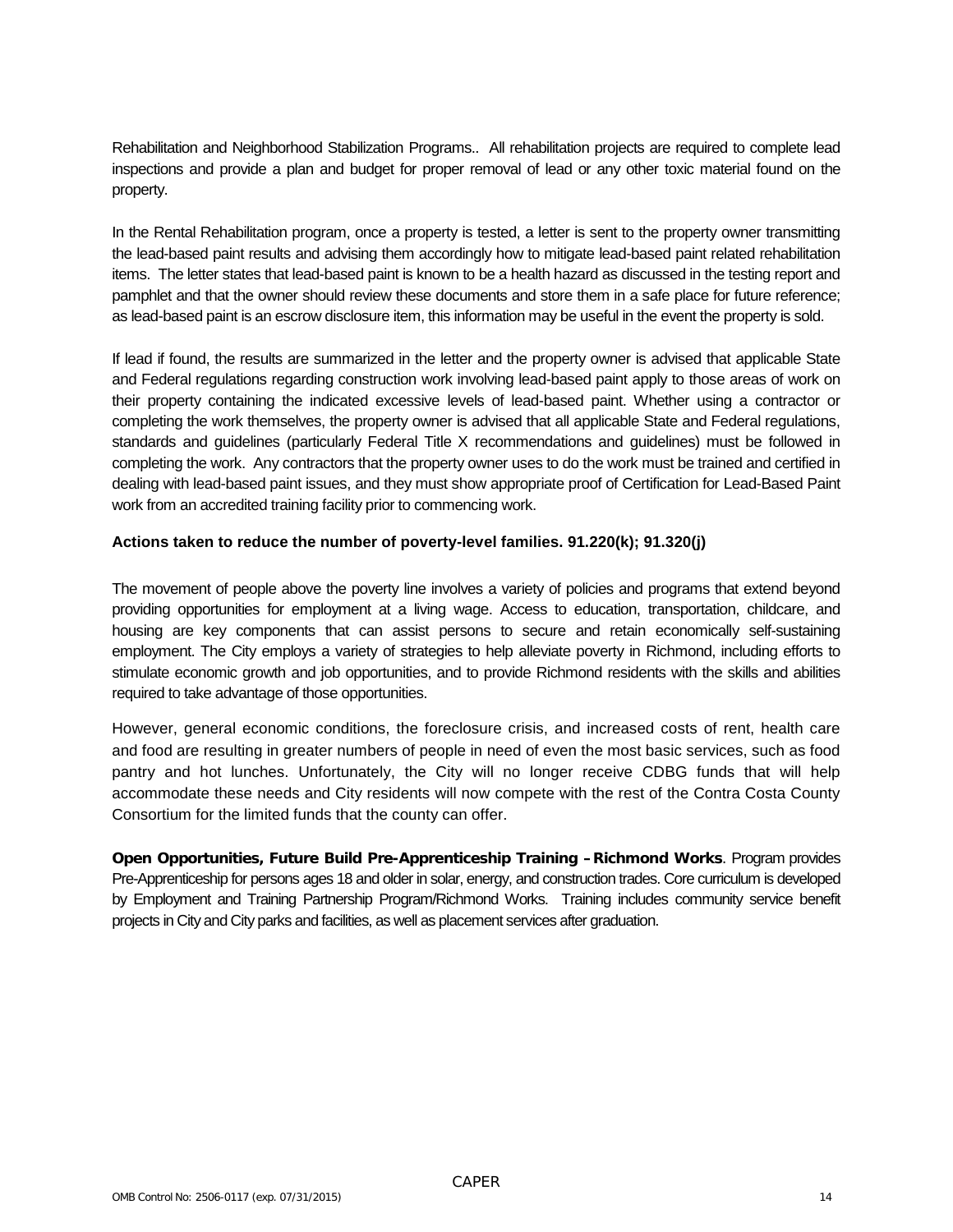Rehabilitation and Neighborhood Stabilization Programs.. All rehabilitation projects are required to complete lead inspections and provide a plan and budget for proper removal of lead or any other toxic material found on the property.

In the Rental Rehabilitation program, once a property is tested, a letter is sent to the property owner transmitting the lead-based paint results and advising them accordingly how to mitigate lead-based paint related rehabilitation items. The letter states that lead-based paint is known to be a health hazard as discussed in the testing report and pamphlet and that the owner should review these documents and store them in a safe place for future reference; as lead-based paint is an escrow disclosure item, this information may be useful in the event the property is sold.

If lead if found, the results are summarized in the letter and the property owner is advised that applicable State and Federal regulations regarding construction work involving lead-based paint apply to those areas of work on their property containing the indicated excessive levels of lead-based paint. Whether using a contractor or completing the work themselves, the property owner is advised that all applicable State and Federal regulations, standards and guidelines (particularly Federal Title X recommendations and guidelines) must be followed in completing the work. Any contractors that the property owner uses to do the work must be trained and certified in dealing with lead-based paint issues, and they must show appropriate proof of Certification for Lead-Based Paint work from an accredited training facility prior to commencing work.

#### **Actions taken to reduce the number of poverty-level families. 91.220(k); 91.320(j)**

The movement of people above the poverty line involves a variety of policies and programs that extend beyond providing opportunities for employment at a living wage. Access to education, transportation, childcare, and housing are key components that can assist persons to secure and retain economically self-sustaining employment. The City employs a variety of strategies to help alleviate poverty in Richmond, including efforts to stimulate economic growth and job opportunities, and to provide Richmond residents with the skills and abilities required to take advantage of those opportunities.

However, general economic conditions, the foreclosure crisis, and increased costs of rent, health care and food are resulting in greater numbers of people in need of even the most basic services, such as food pantry and hot lunches. Unfortunately, the City will no longer receive CDBG funds that will help accommodate these needs and City residents will now compete with the rest of the Contra Costa County Consortium for the limited funds that the county can offer.

**Open Opportunities, Future Build Pre-Apprenticeship Training –Richmond Works**. Program provides Pre-Apprenticeship for persons ages 18 and older in solar, energy, and construction trades. Core curriculum is developed by Employment and Training Partnership Program/Richmond Works. Training includes community service benefit projects in City and City parks and facilities, as well as placement services after graduation.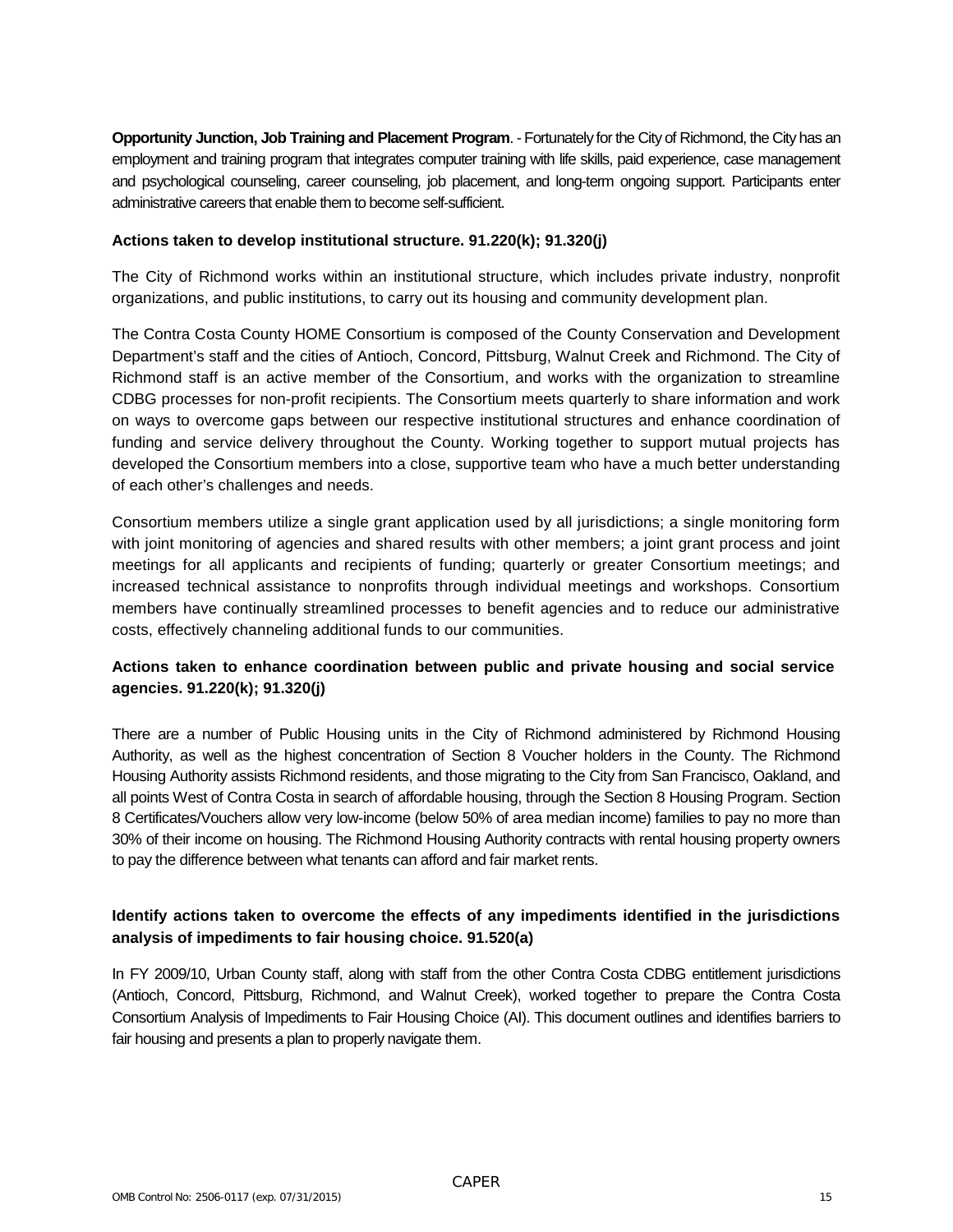**Opportunity Junction, Job Training and Placement Program**. - Fortunately for the City of Richmond, the City has an employment and training program that integrates computer training with life skills, paid experience, case management and psychological counseling, career counseling, job placement, and long-term ongoing support. Participants enter administrative careers that enable them to become self-sufficient.

#### **Actions taken to develop institutional structure. 91.220(k); 91.320(j)**

The City of Richmond works within an institutional structure, which includes private industry, nonprofit organizations, and public institutions, to carry out its housing and community development plan.

The Contra Costa County HOME Consortium is composed of the County Conservation and Development Department's staff and the cities of Antioch, Concord, Pittsburg, Walnut Creek and Richmond. The City of Richmond staff is an active member of the Consortium, and works with the organization to streamline CDBG processes for non-profit recipients. The Consortium meets quarterly to share information and work on ways to overcome gaps between our respective institutional structures and enhance coordination of funding and service delivery throughout the County. Working together to support mutual projects has developed the Consortium members into a close, supportive team who have a much better understanding of each other's challenges and needs.

Consortium members utilize a single grant application used by all jurisdictions; a single monitoring form with joint monitoring of agencies and shared results with other members; a joint grant process and joint meetings for all applicants and recipients of funding; quarterly or greater Consortium meetings; and increased technical assistance to nonprofits through individual meetings and workshops. Consortium members have continually streamlined processes to benefit agencies and to reduce our administrative costs, effectively channeling additional funds to our communities.

#### **Actions taken to enhance coordination between public and private housing and social service agencies. 91.220(k); 91.320(j)**

There are a number of Public Housing units in the City of Richmond administered by Richmond Housing Authority, as well as the highest concentration of Section 8 Voucher holders in the County. The Richmond Housing Authority assists Richmond residents, and those migrating to the City from San Francisco, Oakland, and all points West of Contra Costa in search of affordable housing, through the Section 8 Housing Program. Section 8 Certificates/Vouchers allow very low-income (below 50% of area median income) families to pay no more than 30% of their income on housing. The Richmond Housing Authority contracts with rental housing property owners to pay the difference between what tenants can afford and fair market rents.

#### **Identify actions taken to overcome the effects of any impediments identified in the jurisdictions analysis of impediments to fair housing choice. 91.520(a)**

In FY 2009/10, Urban County staff, along with staff from the other Contra Costa CDBG entitlement jurisdictions (Antioch, Concord, Pittsburg, Richmond, and Walnut Creek), worked together to prepare the Contra Costa Consortium Analysis of Impediments to Fair Housing Choice (AI). This document outlines and identifies barriers to fair housing and presents a plan to properly navigate them.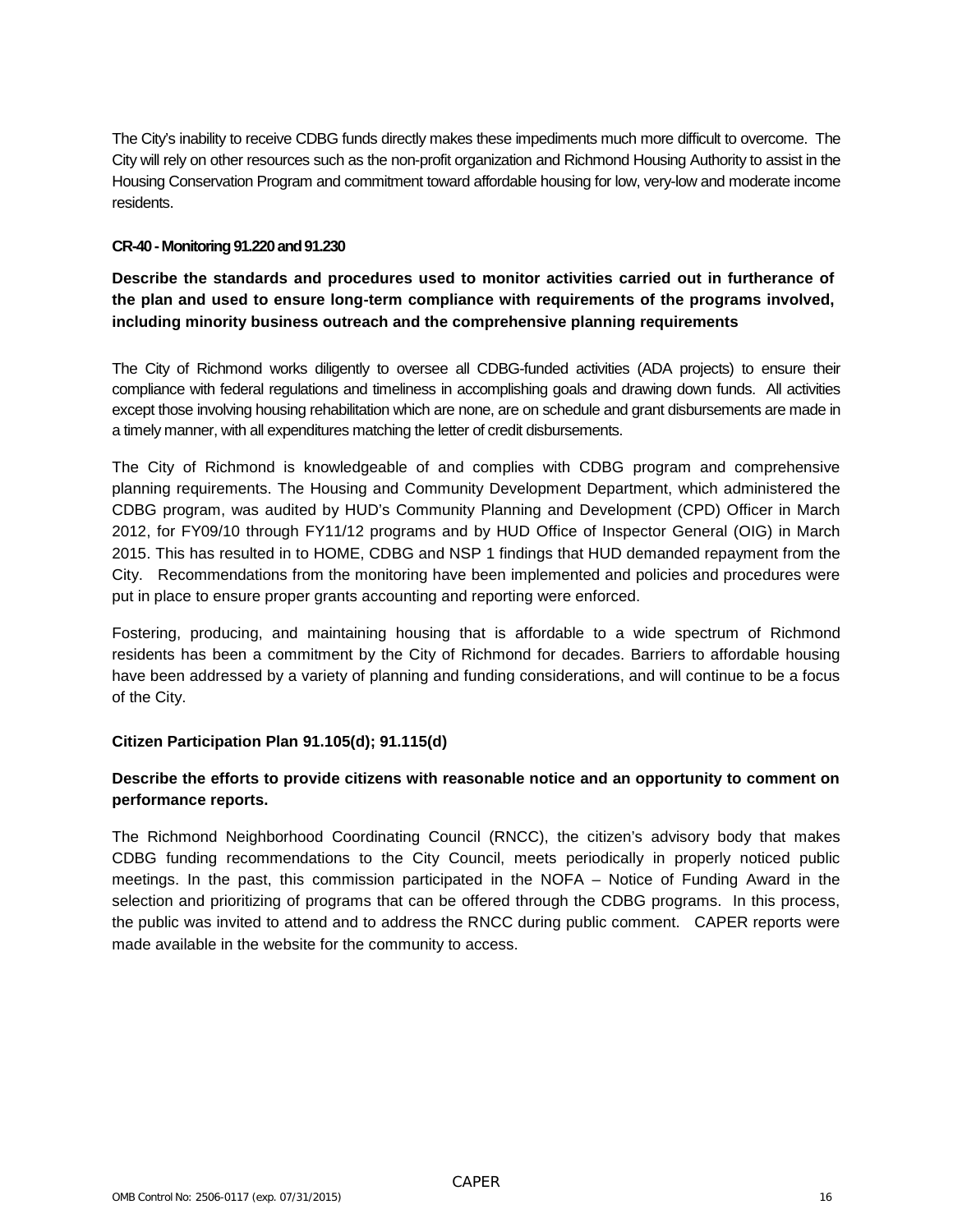The City's inability to receive CDBG funds directly makes these impediments much more difficult to overcome. The City will rely on other resources such as the non-profit organization and Richmond Housing Authority to assist in the Housing Conservation Program and commitment toward affordable housing for low, very-low and moderate income residents.

#### **CR-40 -Monitoring 91.220 and 91.230**

**Describe the standards and procedures used to monitor activities carried out in furtherance of the plan and used to ensure long-term compliance with requirements of the programs involved, including minority business outreach and the comprehensive planning requirements**

The City of Richmond works diligently to oversee all CDBG-funded activities (ADA projects) to ensure their compliance with federal regulations and timeliness in accomplishing goals and drawing down funds. All activities except those involving housing rehabilitation which are none, are on schedule and grant disbursements are made in a timely manner, with all expenditures matching the letter of credit disbursements.

The City of Richmond is knowledgeable of and complies with CDBG program and comprehensive planning requirements. The Housing and Community Development Department, which administered the CDBG program, was audited by HUD's Community Planning and Development (CPD) Officer in March 2012, for FY09/10 through FY11/12 programs and by HUD Office of Inspector General (OIG) in March 2015. This has resulted in to HOME, CDBG and NSP 1 findings that HUD demanded repayment from the City. Recommendations from the monitoring have been implemented and policies and procedures were put in place to ensure proper grants accounting and reporting were enforced.

Fostering, producing, and maintaining housing that is affordable to a wide spectrum of Richmond residents has been a commitment by the City of Richmond for decades. Barriers to affordable housing have been addressed by a variety of planning and funding considerations, and will continue to be a focus of the City.

#### **Citizen Participation Plan 91.105(d); 91.115(d)**

#### **Describe the efforts to provide citizens with reasonable notice and an opportunity to comment on performance reports.**

The Richmond Neighborhood Coordinating Council (RNCC), the citizen's advisory body that makes CDBG funding recommendations to the City Council, meets periodically in properly noticed public meetings. In the past, this commission participated in the NOFA – Notice of Funding Award in the selection and prioritizing of programs that can be offered through the CDBG programs. In this process, the public was invited to attend and to address the RNCC during public comment. CAPER reports were made available in the website for the community to access.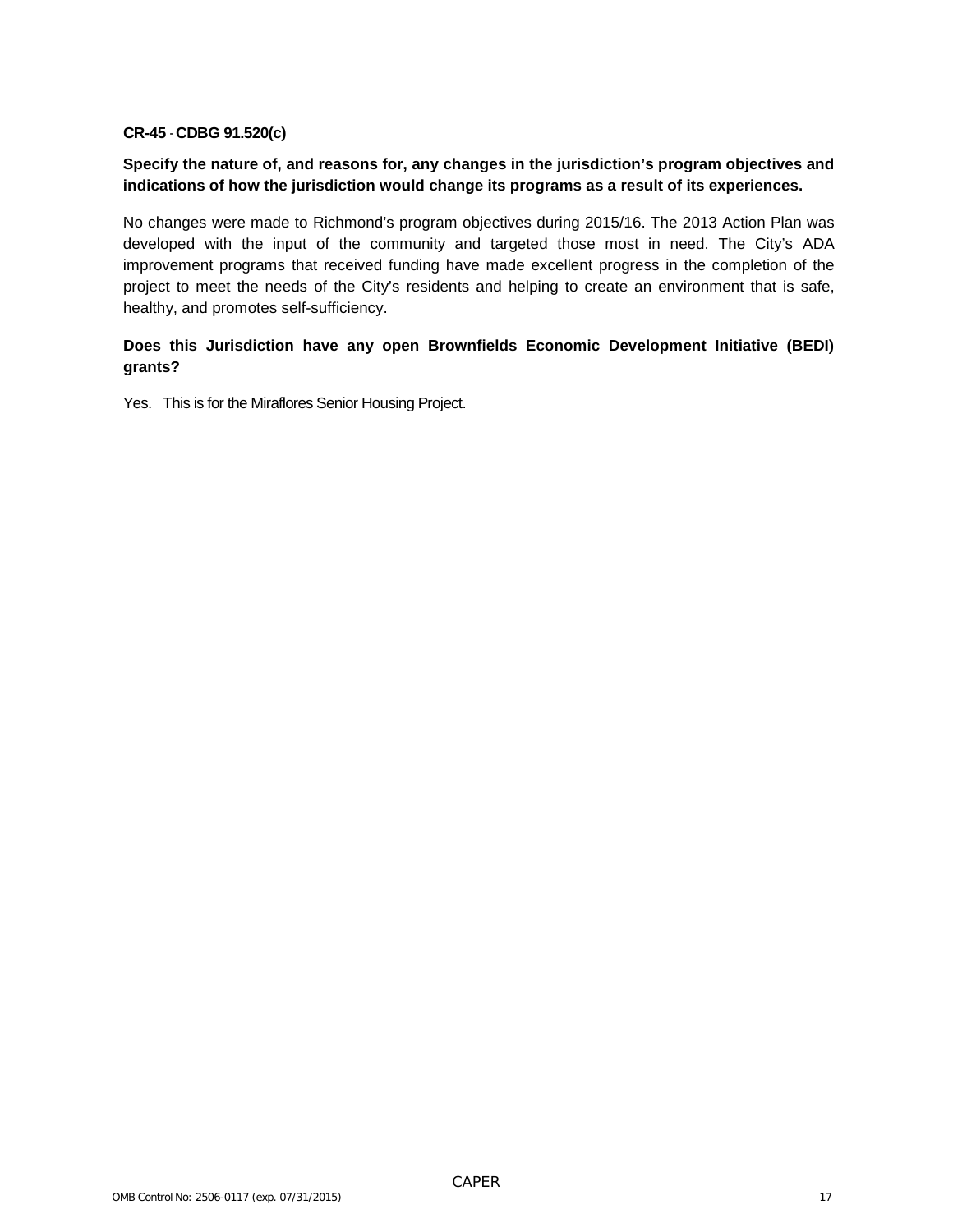#### **CR-45** - **CDBG 91.520(c)**

#### **Specify the nature of, and reasons for, any changes in the jurisdiction's program objectives and indications of how the jurisdiction would change its programs as a result of its experiences.**

No changes were made to Richmond's program objectives during 2015/16. The 2013 Action Plan was developed with the input of the community and targeted those most in need. The City's ADA improvement programs that received funding have made excellent progress in the completion of the project to meet the needs of the City's residents and helping to create an environment that is safe, healthy, and promotes self-sufficiency.

#### **Does this Jurisdiction have any open Brownfields Economic Development Initiative (BEDI) grants?**

Yes. This is for the Miraflores Senior Housing Project.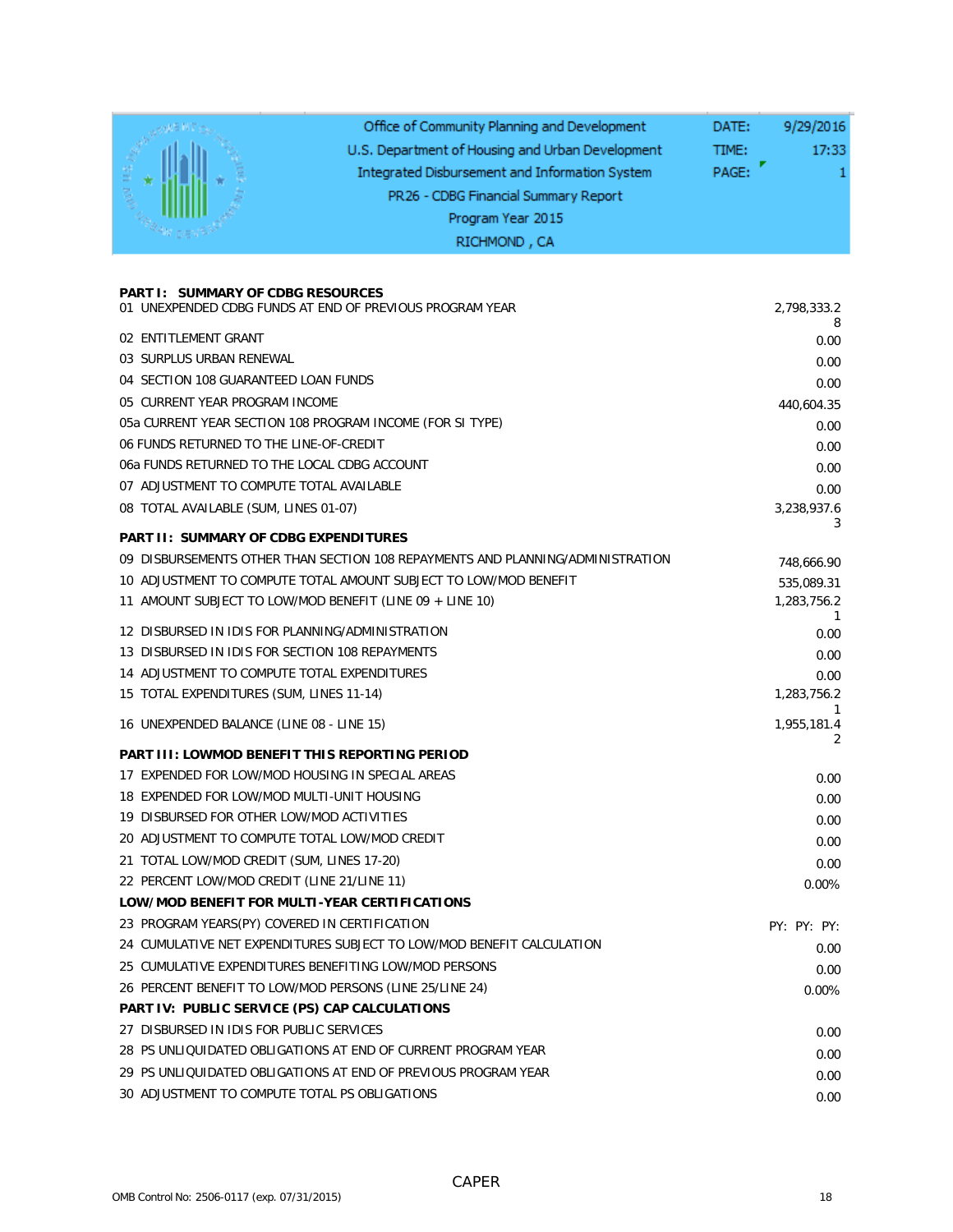|                                                                                                     | Office of Community Planning and Development<br>U.S. Department of Housing and Urban Development<br>Integrated Disbursement and Information System<br>PR26 - CDBG Financial Summary Report<br>Program Year 2015<br>RICHMOND, CA | 9/29/2016<br>DATE:<br>TIME:<br>17:33<br>PAGE: |
|-----------------------------------------------------------------------------------------------------|---------------------------------------------------------------------------------------------------------------------------------------------------------------------------------------------------------------------------------|-----------------------------------------------|
|                                                                                                     |                                                                                                                                                                                                                                 |                                               |
| <b>PART I: SUMMARY OF CDBG RESOURCES</b>                                                            | 01 UNEXPENDED CDBG FUNDS AT END OF PREVIOUS PROGRAM YEAR                                                                                                                                                                        | 2,798,333.2                                   |
| 02 ENTITLEMENT GRANT                                                                                |                                                                                                                                                                                                                                 | 8<br>0.00                                     |
| 03 SURPLUS URBAN RENEWAL                                                                            |                                                                                                                                                                                                                                 | 0.00                                          |
| 04 SECTION 108 GUARANTEED LOAN FUNDS                                                                |                                                                                                                                                                                                                                 | 0.00                                          |
| 05 CURRENT YEAR PROGRAM INCOME                                                                      |                                                                                                                                                                                                                                 | 440,604.35                                    |
|                                                                                                     | 05a CURRENT YEAR SECTION 108 PROGRAM INCOME (FOR SI TYPE)                                                                                                                                                                       | 0.00                                          |
| 06 FUNDS RETURNED TO THE LINE-OF-CREDIT                                                             |                                                                                                                                                                                                                                 | 0.00                                          |
| 06a FUNDS RETURNED TO THE LOCAL CDBG ACCOUNT                                                        |                                                                                                                                                                                                                                 | 0.00                                          |
| 07 ADJUSTMENT TO COMPUTE TOTAL AVAILABLE                                                            |                                                                                                                                                                                                                                 | 0.00                                          |
| 08 TOTAL AVAILABLE (SUM, LINES 01-07)                                                               |                                                                                                                                                                                                                                 | 3,238,937.6                                   |
| <b>PART II: SUMMARY OF CDBG EXPENDITURES</b>                                                        |                                                                                                                                                                                                                                 | 3                                             |
|                                                                                                     | 09 DISBURSEMENTS OTHER THAN SECTION 108 REPAYMENTS AND PLANNING/ADMINISTRATION                                                                                                                                                  | 748,666.90                                    |
|                                                                                                     | 10 ADJUSTMENT TO COMPUTE TOTAL AMOUNT SUBJECT TO LOW/MOD BENEFIT                                                                                                                                                                | 535,089.31                                    |
|                                                                                                     | 11 AMOUNT SUBJECT TO LOW/MOD BENEFIT (LINE 09 + LINE 10)                                                                                                                                                                        | 1,283,756.2                                   |
|                                                                                                     |                                                                                                                                                                                                                                 | 1                                             |
| 12 DISBURSED IN IDIS FOR PLANNING/ADMINISTRATION<br>13 DISBURSED IN IDIS FOR SECTION 108 REPAYMENTS |                                                                                                                                                                                                                                 | 0.00                                          |
| 14 ADJUSTMENT TO COMPUTE TOTAL EXPENDITURES                                                         |                                                                                                                                                                                                                                 | 0.00                                          |
| 15 TOTAL EXPENDITURES (SUM, LINES 11-14)                                                            |                                                                                                                                                                                                                                 | 0.00<br>1,283,756.2                           |
|                                                                                                     |                                                                                                                                                                                                                                 |                                               |
| 16 UNEXPENDED BALANCE (LINE 08 - LINE 15)                                                           |                                                                                                                                                                                                                                 | 1,955,181.4<br>2                              |
| <b>PART III: LOWMOD BENEFIT THIS REPORTING PERIOD</b>                                               |                                                                                                                                                                                                                                 |                                               |
| 17 EXPENDED FOR LOW/MOD HOUSING IN SPECIAL AREAS                                                    |                                                                                                                                                                                                                                 | 0.00                                          |
| 18 EXPENDED FOR LOW/MOD MULTI-UNIT HOUSING                                                          |                                                                                                                                                                                                                                 | 0.00                                          |
| 19 DISBURSED FOR OTHER LOW/MOD ACTIVITIES                                                           |                                                                                                                                                                                                                                 | 0.00                                          |
| 20 ADJUSTMENT TO COMPUTE TOTAL LOW/MOD CREDIT                                                       |                                                                                                                                                                                                                                 | 0.00                                          |
| 21 TOTAL LOW/MOD CREDIT (SUM, LINES 17-20)                                                          |                                                                                                                                                                                                                                 | 0.00                                          |
| 22 PERCENT LOW/MOD CREDIT (LINE 21/LINE 11)                                                         |                                                                                                                                                                                                                                 | 0.00%                                         |
| LOW/MOD BENEFIT FOR MULTI-YEAR CERTIFICATIONS                                                       |                                                                                                                                                                                                                                 |                                               |
| 23 PROGRAM YEARS(PY) COVERED IN CERTIFICATION                                                       |                                                                                                                                                                                                                                 | PY: PY: PY:                                   |
|                                                                                                     | 24 CUMULATIVE NET EXPENDITURES SUBJECT TO LOW/MOD BENEFIT CALCULATION<br>25 CUMULATIVE EXPENDITURES BENEFITING LOW/MOD PERSONS                                                                                                  | 0.00                                          |
| 26 PERCENT BENEFIT TO LOW/MOD PERSONS (LINE 25/LINE 24)                                             |                                                                                                                                                                                                                                 | 0.00                                          |
| PART IV: PUBLIC SERVICE (PS) CAP CALCULATIONS                                                       |                                                                                                                                                                                                                                 | 0.00%                                         |
| 27 DISBURSED IN IDIS FOR PUBLIC SERVICES                                                            |                                                                                                                                                                                                                                 |                                               |
|                                                                                                     | 28 PS UNLIQUIDATED OBLIGATIONS AT END OF CURRENT PROGRAM YEAR                                                                                                                                                                   | 0.00                                          |
|                                                                                                     | 29 PS UNLIQUIDATED OBLIGATIONS AT END OF PREVIOUS PROGRAM YEAR                                                                                                                                                                  | 0.00<br>0.00                                  |
| 30 ADJUSTMENT TO COMPUTE TOTAL PS OBLIGATIONS                                                       |                                                                                                                                                                                                                                 | 0.00                                          |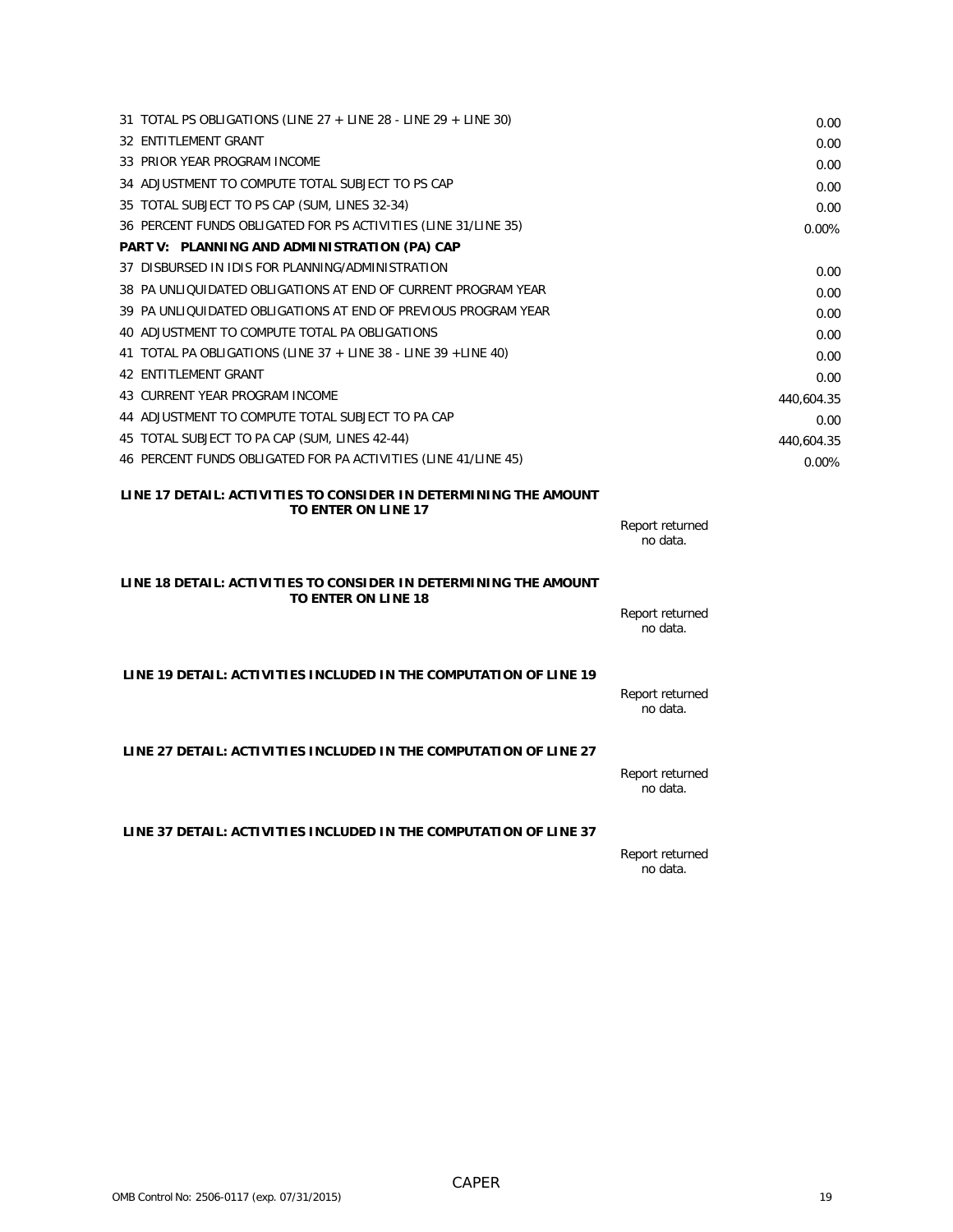| 31 TOTAL PS OBLIGATIONS (LINE $27 +$ LINE 28 - LINE 29 + LINE 30) |                             | 0.00       |
|-------------------------------------------------------------------|-----------------------------|------------|
| 32 ENTITLEMENT GRANT                                              |                             | 0.00       |
| 33 PRIOR YEAR PROGRAM INCOME                                      |                             | 0.00       |
| 34 ADJUSTMENT TO COMPUTE TOTAL SUBJECT TO PS CAP                  |                             | 0.00       |
| 35 TOTAL SUBJECT TO PS CAP (SUM, LINES 32-34)                     |                             | 0.00       |
| 36 PERCENT FUNDS OBLIGATED FOR PS ACTIVITIES (LINE 31/LINE 35)    |                             | 0.00%      |
| PART V: PLANNING AND ADMINISTRATION (PA) CAP                      |                             |            |
| 37 DISBURSED IN IDIS FOR PLANNING/ADMINISTRATION                  |                             | 0.00       |
| 38 PA UNLIQUIDATED OBLIGATIONS AT END OF CURRENT PROGRAM YEAR     |                             | 0.00       |
| 39 PA UNLIQUIDATED OBLIGATIONS AT END OF PREVIOUS PROGRAM YEAR    |                             | 0.00       |
| 40 ADJUSTMENT TO COMPUTE TOTAL PA OBLIGATIONS                     |                             | 0.00       |
| 41 TOTAL PA OBLIGATIONS (LINE $37 +$ LINE 38 - LINE 39 + LINE 40) |                             | 0.00       |
| 42 ENTITLEMENT GRANT                                              |                             | 0.00       |
| 43 CURRENT YEAR PROGRAM INCOME                                    |                             | 440,604.35 |
| 44 ADJUSTMENT TO COMPUTE TOTAL SUBJECT TO PA CAP                  |                             | 0.00       |
| 45 TOTAL SUBJECT TO PA CAP (SUM, LINES 42-44)                     |                             | 440,604.35 |
| 46 PERCENT FUNDS OBLIGATED FOR PA ACTIVITIES (LINE 41/LINE 45)    |                             | 0.00%      |
| LINE 17 DETAIL: ACTIVITIES TO CONSIDER IN DETERMINING THE AMOUNT  |                             |            |
| TO ENTER ON LINE 17                                               |                             |            |
|                                                                   | Report returned<br>no data. |            |
|                                                                   |                             |            |
| LINE 18 DETAIL: ACTIVITIES TO CONSIDER IN DETERMINING THE AMOUNT  |                             |            |
| <b>TO ENTER ON LINE 18</b>                                        |                             |            |
|                                                                   | Report returned<br>no data. |            |
|                                                                   |                             |            |
| LINE 19 DETAIL: ACTIVITIES INCLUDED IN THE COMPUTATION OF LINE 19 |                             |            |
|                                                                   | Report returned             |            |
|                                                                   | no data.                    |            |
|                                                                   |                             |            |
| LINE 27 DETAIL: ACTIVITIES INCLUDED IN THE COMPUTATION OF LINE 27 |                             |            |
|                                                                   | Report returned             |            |
|                                                                   | no data.                    |            |
|                                                                   |                             |            |
| LINE 37 DETAIL: ACTIVITIES INCLUDED IN THE COMPUTATION OF LINE 37 |                             |            |
|                                                                   | Report returned             |            |
|                                                                   | no data.                    |            |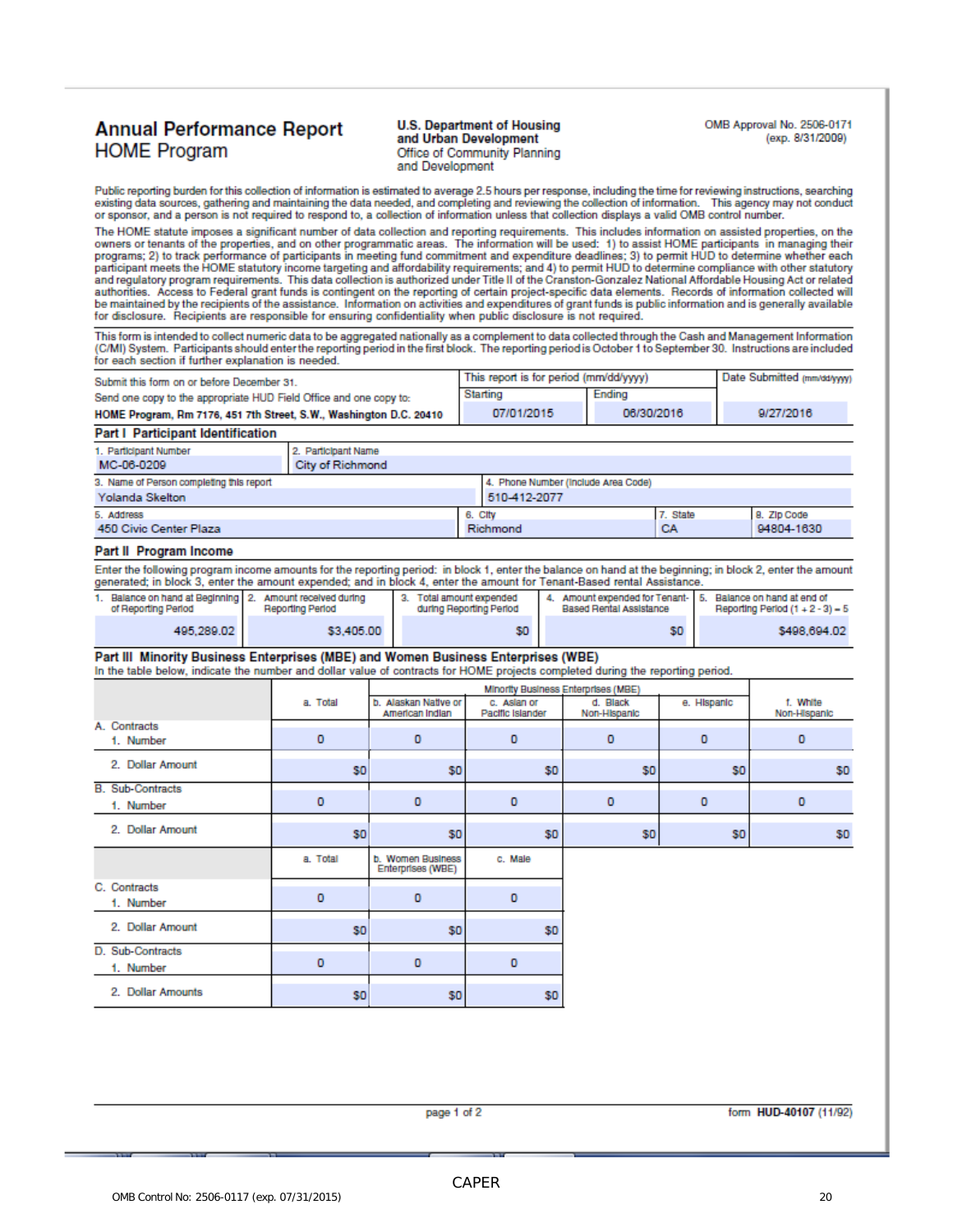### **Annual Performance Report HOME Program**

#### **U.S. Department of Housing** and Urban Development Office of Community Planning and Development

OMB Approval No. 2506-0171 (exp. 8/31/2009)

Public reporting burden for this collection of information is estimated to average 2.5 hours per response, including the time for reviewing instructions, searching existing data sources, gathering and maintaining the data needed, and completing and reviewing the collection of information. This agency may not conduct or sponsor, and a person is not required to respond to, a collection of information unless that collection displays a valid OMB control number.

The HOME statute imposes a significant number of data collection and reporting requirements. This includes information on assisted properties, on the<br>owners or tenants of the properties, and on other programmatic areas. Th participant meets the HOME statutory income targeting and affordability requirements; and 4) to permit HUD to determine compliance with other statutory and regulatory program requirements. This data collection is authorized under Title II of the Cranston-Gonzalez National Affordable Housing Act or related authorities. Access to Federal grant funds is contingent on the reporting of certain project-specific data elements. Records of information collected will be maintained by the recipients of the assistance. Information on activities and expenditures of grant funds is public information and is generally available for disclosure. Recipients are responsible for ensuring confidentiality when public disclosure is not required.

This form is intended to collect numeric data to be aggregated nationally as a complement to data collected through the Cash and Management Information (C/MI) System. Participants should enter the reporting period in the first block. The reporting period is October 1 to September 30. Instructions are included for each section if further explanation is needed.

| Submit this form on or before December 31.                         | This report is for period (mm/dd/yyyy) | Date Submitted (mm/dd/ywy) |           |
|--------------------------------------------------------------------|----------------------------------------|----------------------------|-----------|
| Send one copy to the appropriate HUD Field Office and one copy to: | Starting                               | Ending                     |           |
| HOME Program, Rm 7176, 451 7th Street, S.W., Washington D.C. 20410 | 07/01/2015                             | 06/30/2016                 | 9/27/2016 |

| <b>Part I Participant Identification</b> |                         |          |                                     |          |             |  |
|------------------------------------------|-------------------------|----------|-------------------------------------|----------|-------------|--|
| 1. Participant Number                    | 2. Participant Name     |          |                                     |          |             |  |
| MC-06-0209                               | <b>City of Richmond</b> |          |                                     |          |             |  |
| 3. Name of Person completing this report |                         |          | 4. Phone Number (Include Area Code) |          |             |  |
| 510-412-2077<br>Yolanda Skelton          |                         |          |                                     |          |             |  |
| 5. Address                               |                         | 6. City  |                                     | 7. State | 8. Zip Code |  |
| 450 Civic Center Plaza                   |                         | Richmond |                                     | CA       | 94804-1630  |  |

#### Part II Program Income

Enter the following program income amounts for the reporting period: in block 1, enter the balance on hand at the beginning; in block 2, enter the amount generated; in block 3, enter the amount expended; and in block 4, enter the amount for Tenant-Based rental Assistance.

| Balance on hand at Beginning 2. Amount received during<br>of Reporting Period | <b>Reporting Period</b> | Total amount expended<br>during Reporting Period | Based Rental Assistance | Amount expended for Tenant-   5. Balance on hand at end of<br>Reporting Period $(1 + 2 - 3) = 5$ |
|-------------------------------------------------------------------------------|-------------------------|--------------------------------------------------|-------------------------|--------------------------------------------------------------------------------------------------|
| 495.289.02                                                                    | \$3,405.00              | \$0                                              | \$0                     | \$498,694.02                                                                                     |

#### Part III Minority Business Enterprises (MBE) and Women Business Enterprises (WBE)

In the table below, indicate the number and dollar value of contracts for HOME projects completed during the reporting period.

|                         |                | Minority Business Enterprises (MBE)     |                                 |                          |                |                          |  |
|-------------------------|----------------|-----------------------------------------|---------------------------------|--------------------------|----------------|--------------------------|--|
|                         | a. Total       | b. Alaskan Native or<br>American Indian | c. Aslan or<br>Pacific Islander | d. Black<br>Non-Hispanic | e. Hispanic    | f. White<br>Non-Hispanic |  |
| A. Contracts            |                |                                         |                                 |                          |                |                          |  |
| 1. Number               | 0              | 0                                       | 0                               | $\mathbf 0$              | o              | 0                        |  |
| 2. Dollar Amount        | S <sub>0</sub> | \$0                                     | \$0                             | \$0                      | S <sub>0</sub> | \$0                      |  |
| <b>B.</b> Sub-Contracts |                |                                         |                                 |                          |                |                          |  |
| 1. Number               | 0              | o                                       | O                               | $\circ$                  | o              | o                        |  |
| 2. Dollar Amount        | S <sub>0</sub> | \$0                                     | \$0                             | \$0                      | S <sub>0</sub> | \$0                      |  |
|                         | a. Total       | b. Women Business<br>Enterprises (WBE)  | c. Male                         |                          |                |                          |  |
| C. Contracts            |                |                                         |                                 |                          |                |                          |  |
| 1. Number               | 0              | o                                       | O                               |                          |                |                          |  |
| 2. Dollar Amount        | S <sub>0</sub> | \$0                                     | \$0                             |                          |                |                          |  |
| D. Sub-Contracts        |                |                                         |                                 |                          |                |                          |  |
| 1. Number               | 0              | o                                       | $\circ$                         |                          |                |                          |  |
| 2. Dollar Amounts       | S <sub>0</sub> | \$0                                     | \$0                             |                          |                |                          |  |

page 1 of 2

form HUD-40107 (11/92)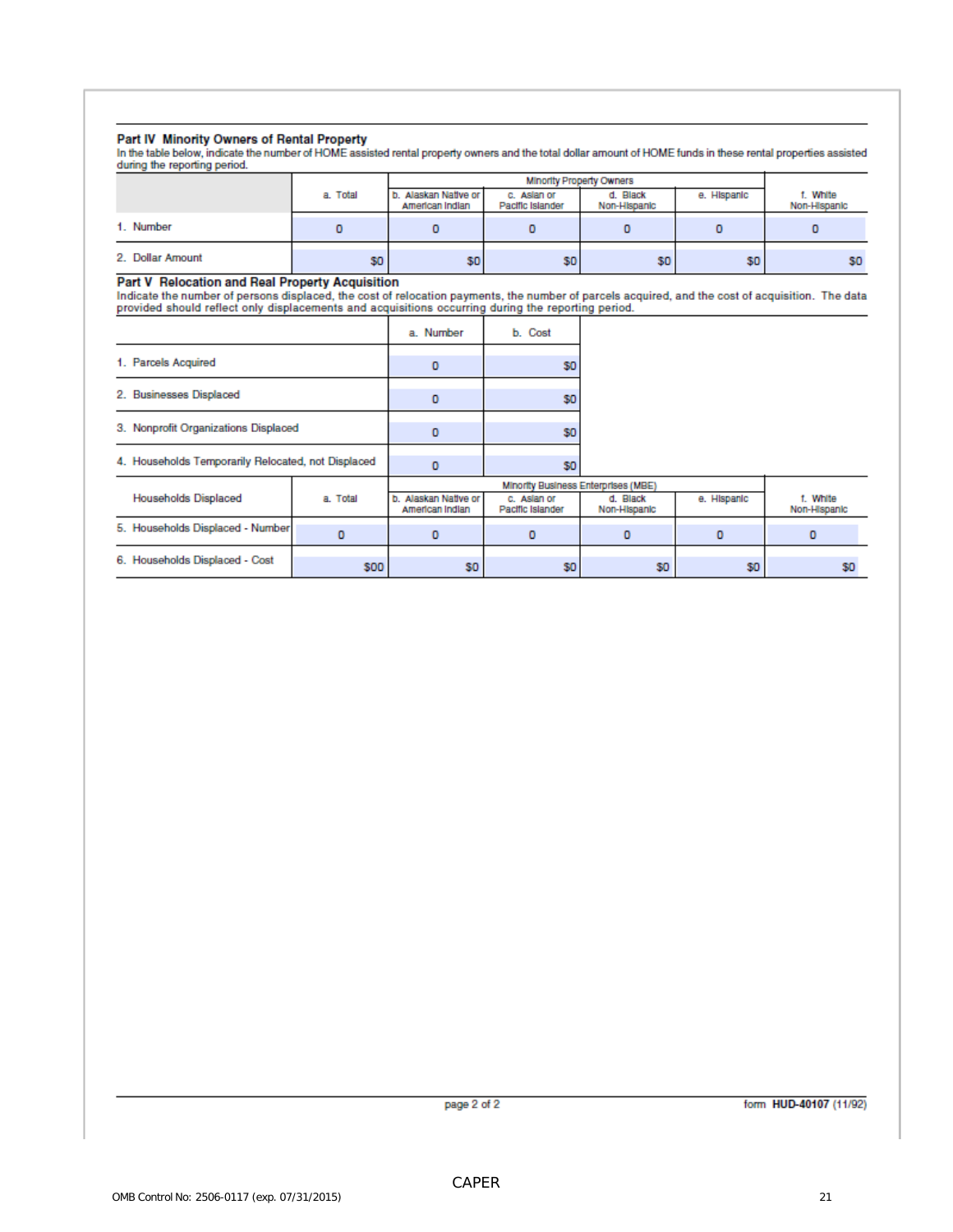#### Part IV Minority Owners of Rental Property

In the table below, indicate the number of HOME assisted rental property owners and the total dollar amount of HOME funds in these rental properties assisted during the reporting period.

|                  |          | <b>Minority Property Owners</b>         |                                 |                          |             |                          |
|------------------|----------|-----------------------------------------|---------------------------------|--------------------------|-------------|--------------------------|
|                  | a. Total | b. Alaskan Native or<br>American Indian | c. Aslan or<br>Pacific Islander | d. Black<br>Non-Hispanic | e. Hispanic | f. White<br>Non-Hispanic |
| 1. Number        |          |                                         |                                 |                          |             |                          |
| 2. Dollar Amount | \$0      | \$0 <sub>1</sub>                        | \$0                             | \$0                      | SO.         | SO.                      |

Part V Relocation and Real Property Acquisition<br>Indicate the number of persons displaced, the cost of relocation payments, the number of parcels acquired, and the cost of acquisition. The data<br>provided should reflect only

|                                                    | a. Number | b. Cost |
|----------------------------------------------------|-----------|---------|
| 1. Parcels Acquired                                |           |         |
| 2. Businesses Displaced                            |           | so      |
| 3. Nonprofit Organizations Displaced               |           | SO      |
| 4. Households Temporarily Relocated, not Displaced |           | s٥      |

|                                  |            | Minority Business Enterprises (MBE)     |                                 |                          |             |                          |
|----------------------------------|------------|-----------------------------------------|---------------------------------|--------------------------|-------------|--------------------------|
| <b>Households Displaced</b>      | a. Total   | b. Alaskan Native or<br>American Indian | c. Aslan or<br>Pacific Islander | d. Black<br>Non-Hispanic | e. Hispanic | f. White<br>Non-Hispanic |
| 5. Households Displaced - Number |            |                                         |                                 |                          |             |                          |
| 6. Households Displaced - Cost   | <b>SOO</b> | SO.                                     | SO.                             | \$0                      | SO.         | \$O                      |

page 2 of 2